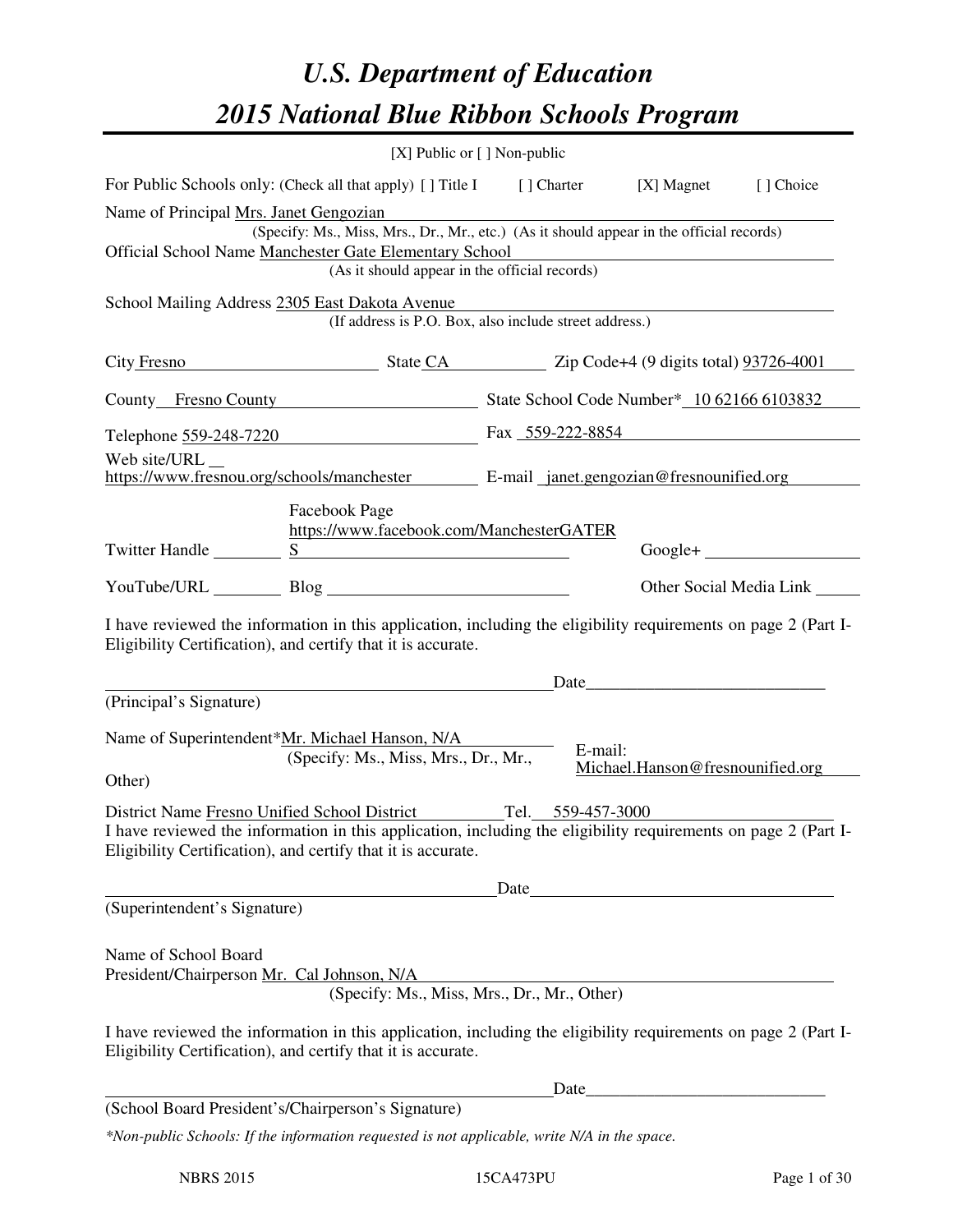# *U.S. Department of Education 2015 National Blue Ribbon Schools Program*

|                                                                                                         |                                                                                                                                                                                | [X] Public or [] Non-public |         |                                                                                                                                                                                                                               |                                 |
|---------------------------------------------------------------------------------------------------------|--------------------------------------------------------------------------------------------------------------------------------------------------------------------------------|-----------------------------|---------|-------------------------------------------------------------------------------------------------------------------------------------------------------------------------------------------------------------------------------|---------------------------------|
|                                                                                                         | For Public Schools only: (Check all that apply) [] Title I [] Charter [X] Magnet                                                                                               |                             |         |                                                                                                                                                                                                                               | [] Choice                       |
| Name of Principal Mrs. Janet Gengozian                                                                  |                                                                                                                                                                                |                             |         |                                                                                                                                                                                                                               |                                 |
|                                                                                                         | (Specify: Ms., Miss, Mrs., Dr., Mr., etc.) (As it should appear in the official records)                                                                                       |                             |         |                                                                                                                                                                                                                               |                                 |
| Official School Name Manchester Gate Elementary School<br>(As it should appear in the official records) |                                                                                                                                                                                |                             |         |                                                                                                                                                                                                                               |                                 |
|                                                                                                         |                                                                                                                                                                                |                             |         |                                                                                                                                                                                                                               |                                 |
|                                                                                                         | School Mailing Address 2305 East Dakota Avenue<br>(If address is P.O. Box, also include street address.)                                                                       |                             |         |                                                                                                                                                                                                                               |                                 |
|                                                                                                         | City Fresno State CA Zip Code+4 (9 digits total) 93726-4001                                                                                                                    |                             |         |                                                                                                                                                                                                                               |                                 |
|                                                                                                         | County Fresno County State School Code Number* 10 62166 6103832                                                                                                                |                             |         |                                                                                                                                                                                                                               |                                 |
|                                                                                                         | Telephone 559-248-7220 Fax 559-222-8854                                                                                                                                        |                             |         |                                                                                                                                                                                                                               |                                 |
| Web site/URL __                                                                                         |                                                                                                                                                                                |                             |         |                                                                                                                                                                                                                               |                                 |
|                                                                                                         | https://www.fresnou.org/schools/manchester E-mail_janet.gengozian@fresnounified.org                                                                                            |                             |         |                                                                                                                                                                                                                               |                                 |
|                                                                                                         | Facebook Page                                                                                                                                                                  |                             |         |                                                                                                                                                                                                                               |                                 |
|                                                                                                         | https://www.facebook.com/ManchesterGATER                                                                                                                                       |                             |         |                                                                                                                                                                                                                               |                                 |
| Twitter Handle                                                                                          | S                                                                                                                                                                              |                             |         |                                                                                                                                                                                                                               |                                 |
|                                                                                                         |                                                                                                                                                                                |                             |         |                                                                                                                                                                                                                               | Other Social Media Link _______ |
|                                                                                                         |                                                                                                                                                                                |                             |         |                                                                                                                                                                                                                               |                                 |
|                                                                                                         | I have reviewed the information in this application, including the eligibility requirements on page 2 (Part I-<br>Eligibility Certification), and certify that it is accurate. |                             |         |                                                                                                                                                                                                                               |                                 |
|                                                                                                         |                                                                                                                                                                                |                             |         | Date and the same state of the state of the state of the state of the state of the state of the state of the state of the state of the state of the state of the state of the state of the state of the state of the state of |                                 |
| (Principal's Signature)                                                                                 |                                                                                                                                                                                |                             |         |                                                                                                                                                                                                                               |                                 |
|                                                                                                         |                                                                                                                                                                                |                             |         |                                                                                                                                                                                                                               |                                 |
|                                                                                                         | Name of Superintendent*Mr. Michael Hanson, N/A<br>(Specify: Ms., Miss, Mrs., Dr., Mr.,                                                                                         |                             | E-mail: |                                                                                                                                                                                                                               |                                 |
| Other)                                                                                                  |                                                                                                                                                                                |                             |         | Michael.Hanson@fresnounified.org                                                                                                                                                                                              |                                 |
|                                                                                                         |                                                                                                                                                                                |                             |         |                                                                                                                                                                                                                               |                                 |
|                                                                                                         | District Name Fresno Unified School District Tel. 559-457-3000                                                                                                                 |                             |         |                                                                                                                                                                                                                               |                                 |
|                                                                                                         | I have reviewed the information in this application, including the eligibility requirements on page 2 (Part I-<br>Eligibility Certification), and certify that it is accurate. |                             |         |                                                                                                                                                                                                                               |                                 |
|                                                                                                         |                                                                                                                                                                                | Date                        |         |                                                                                                                                                                                                                               |                                 |
| (Superintendent's Signature)                                                                            |                                                                                                                                                                                |                             |         |                                                                                                                                                                                                                               |                                 |
|                                                                                                         |                                                                                                                                                                                |                             |         |                                                                                                                                                                                                                               |                                 |
| Name of School Board                                                                                    |                                                                                                                                                                                |                             |         |                                                                                                                                                                                                                               |                                 |
| President/Chairperson Mr. Cal Johnson, N/A                                                              | Ohnson, N/A<br>(Specify: Ms., Miss, Mrs., Dr., Mr., Other)                                                                                                                     |                             |         |                                                                                                                                                                                                                               |                                 |
|                                                                                                         |                                                                                                                                                                                |                             |         |                                                                                                                                                                                                                               |                                 |
|                                                                                                         | I have reviewed the information in this application, including the eligibility requirements on page 2 (Part I-<br>Eligibility Certification), and certify that it is accurate. |                             |         |                                                                                                                                                                                                                               |                                 |
|                                                                                                         |                                                                                                                                                                                |                             | Date    |                                                                                                                                                                                                                               |                                 |
|                                                                                                         | (School Board President's/Chairperson's Signature)                                                                                                                             |                             |         |                                                                                                                                                                                                                               |                                 |
|                                                                                                         | *Non-public Schools: If the information requested is not applicable, write N/A in the space.                                                                                   |                             |         |                                                                                                                                                                                                                               |                                 |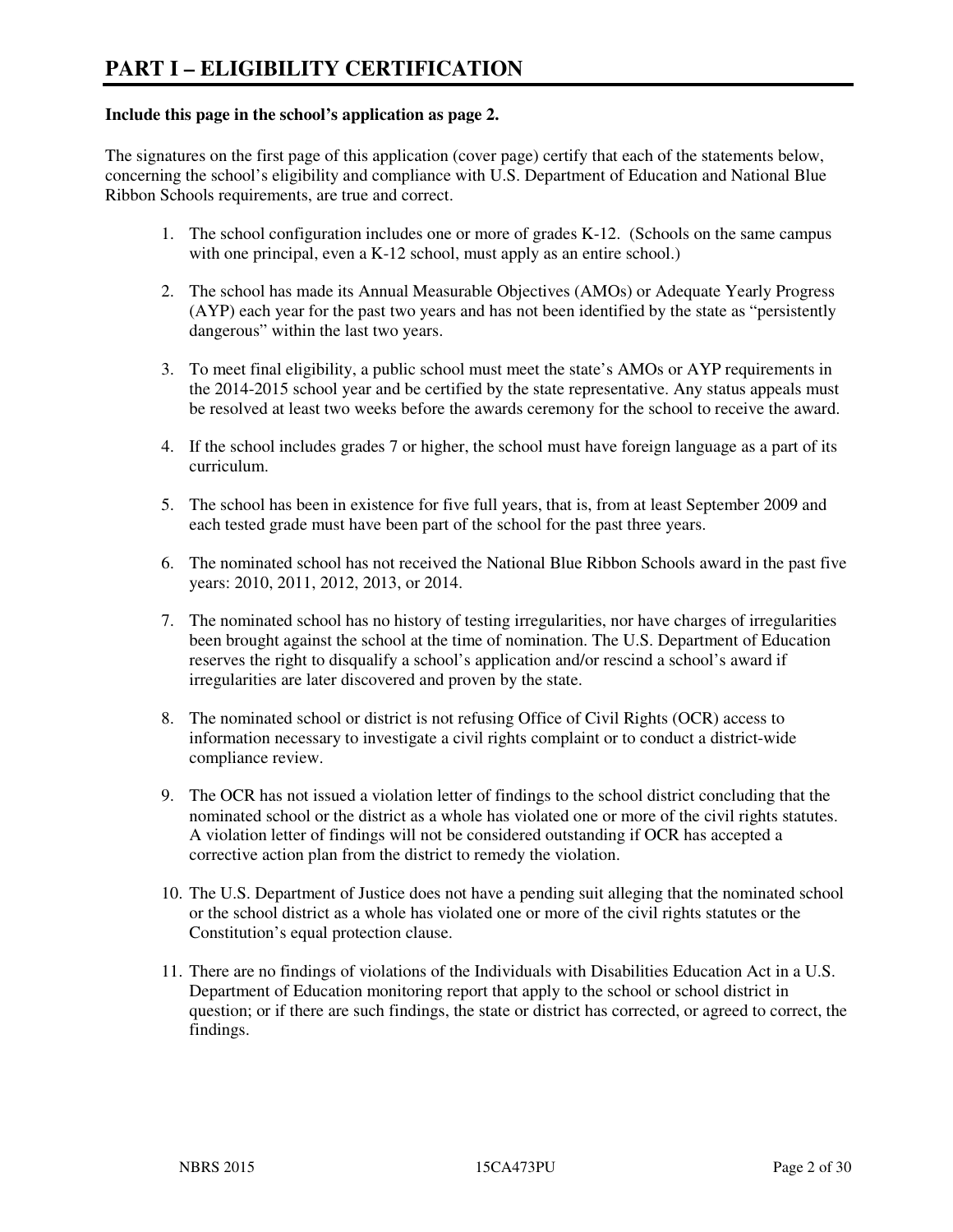#### **Include this page in the school's application as page 2.**

The signatures on the first page of this application (cover page) certify that each of the statements below, concerning the school's eligibility and compliance with U.S. Department of Education and National Blue Ribbon Schools requirements, are true and correct.

- 1. The school configuration includes one or more of grades K-12. (Schools on the same campus with one principal, even a K-12 school, must apply as an entire school.)
- 2. The school has made its Annual Measurable Objectives (AMOs) or Adequate Yearly Progress (AYP) each year for the past two years and has not been identified by the state as "persistently dangerous" within the last two years.
- 3. To meet final eligibility, a public school must meet the state's AMOs or AYP requirements in the 2014-2015 school year and be certified by the state representative. Any status appeals must be resolved at least two weeks before the awards ceremony for the school to receive the award.
- 4. If the school includes grades 7 or higher, the school must have foreign language as a part of its curriculum.
- 5. The school has been in existence for five full years, that is, from at least September 2009 and each tested grade must have been part of the school for the past three years.
- 6. The nominated school has not received the National Blue Ribbon Schools award in the past five years: 2010, 2011, 2012, 2013, or 2014.
- 7. The nominated school has no history of testing irregularities, nor have charges of irregularities been brought against the school at the time of nomination. The U.S. Department of Education reserves the right to disqualify a school's application and/or rescind a school's award if irregularities are later discovered and proven by the state.
- 8. The nominated school or district is not refusing Office of Civil Rights (OCR) access to information necessary to investigate a civil rights complaint or to conduct a district-wide compliance review.
- 9. The OCR has not issued a violation letter of findings to the school district concluding that the nominated school or the district as a whole has violated one or more of the civil rights statutes. A violation letter of findings will not be considered outstanding if OCR has accepted a corrective action plan from the district to remedy the violation.
- 10. The U.S. Department of Justice does not have a pending suit alleging that the nominated school or the school district as a whole has violated one or more of the civil rights statutes or the Constitution's equal protection clause.
- 11. There are no findings of violations of the Individuals with Disabilities Education Act in a U.S. Department of Education monitoring report that apply to the school or school district in question; or if there are such findings, the state or district has corrected, or agreed to correct, the findings.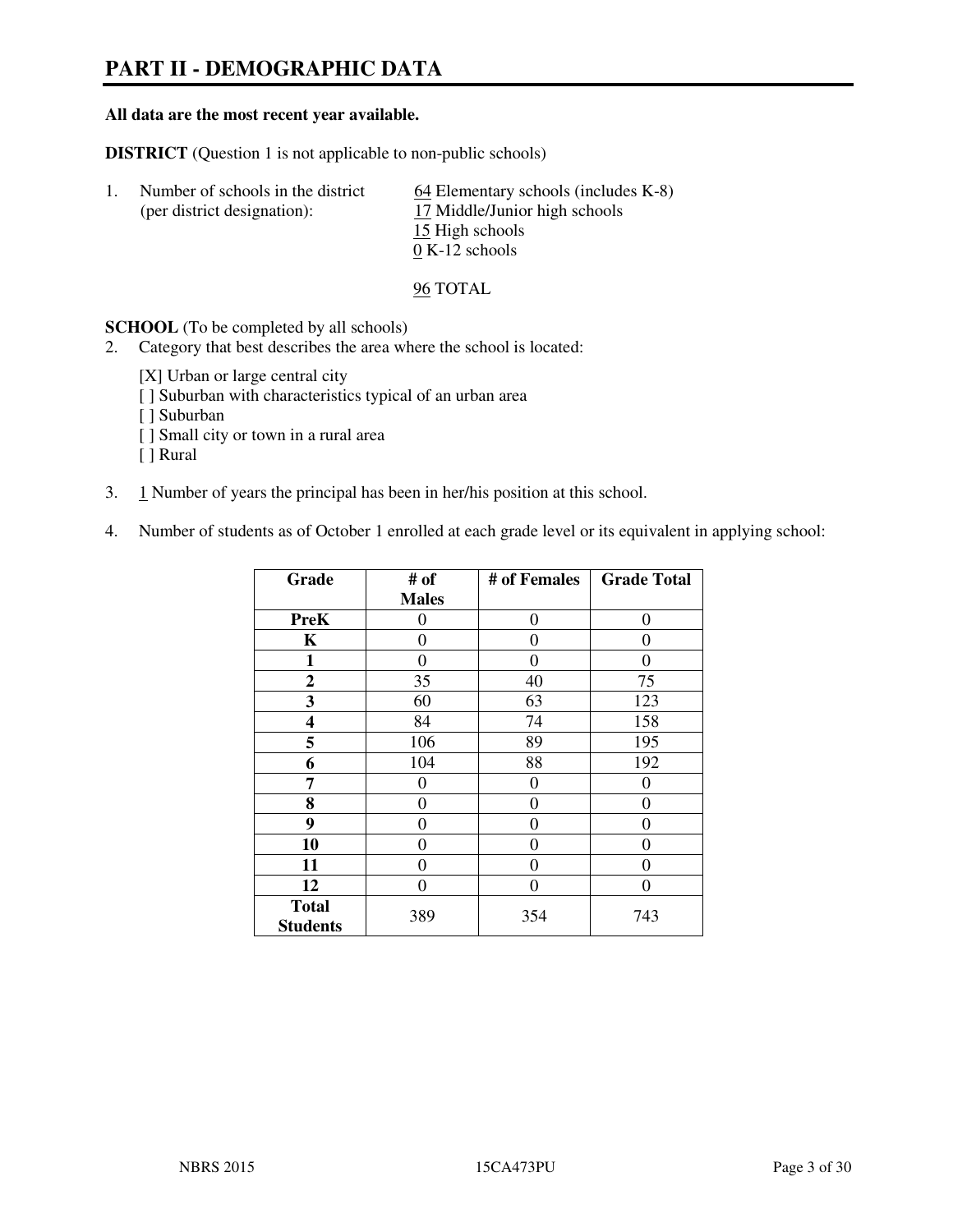# **PART II - DEMOGRAPHIC DATA**

#### **All data are the most recent year available.**

**DISTRICT** (Question 1 is not applicable to non-public schools)

| Number of schools in the district<br>(per district designation): | $\underline{64}$ Elementary schools (includes K-8)<br>17 Middle/Junior high schools |
|------------------------------------------------------------------|-------------------------------------------------------------------------------------|
|                                                                  | 15 High schools<br>$0 K-12$ schools                                                 |

96 TOTAL

**SCHOOL** (To be completed by all schools)

- 2. Category that best describes the area where the school is located:
	- [X] Urban or large central city
	- [ ] Suburban with characteristics typical of an urban area
	- [ ] Suburban
	- [ ] Small city or town in a rural area
	- [ ] Rural
- 3. 1 Number of years the principal has been in her/his position at this school.
- 4. Number of students as of October 1 enrolled at each grade level or its equivalent in applying school:

| Grade                           | # of         | # of Females     | <b>Grade Total</b> |
|---------------------------------|--------------|------------------|--------------------|
|                                 | <b>Males</b> |                  |                    |
| <b>PreK</b>                     | 0            | $\boldsymbol{0}$ | 0                  |
| K                               | 0            | 0                | $\theta$           |
| 1                               | 0            | 0                | 0                  |
| $\boldsymbol{2}$                | 35           | 40               | 75                 |
| 3                               | 60           | 63               | 123                |
| 4                               | 84           | 74               | 158                |
| 5                               | 106          | 89               | 195                |
| 6                               | 104          | 88               | 192                |
| 7                               | 0            | $\boldsymbol{0}$ | 0                  |
| 8                               | 0            | 0                | 0                  |
| 9                               | 0            | 0                | 0                  |
| 10                              | 0            | 0                | 0                  |
| 11                              | 0            | 0                | 0                  |
| 12                              | 0            | 0                | 0                  |
| <b>Total</b><br><b>Students</b> | 389          | 354              | 743                |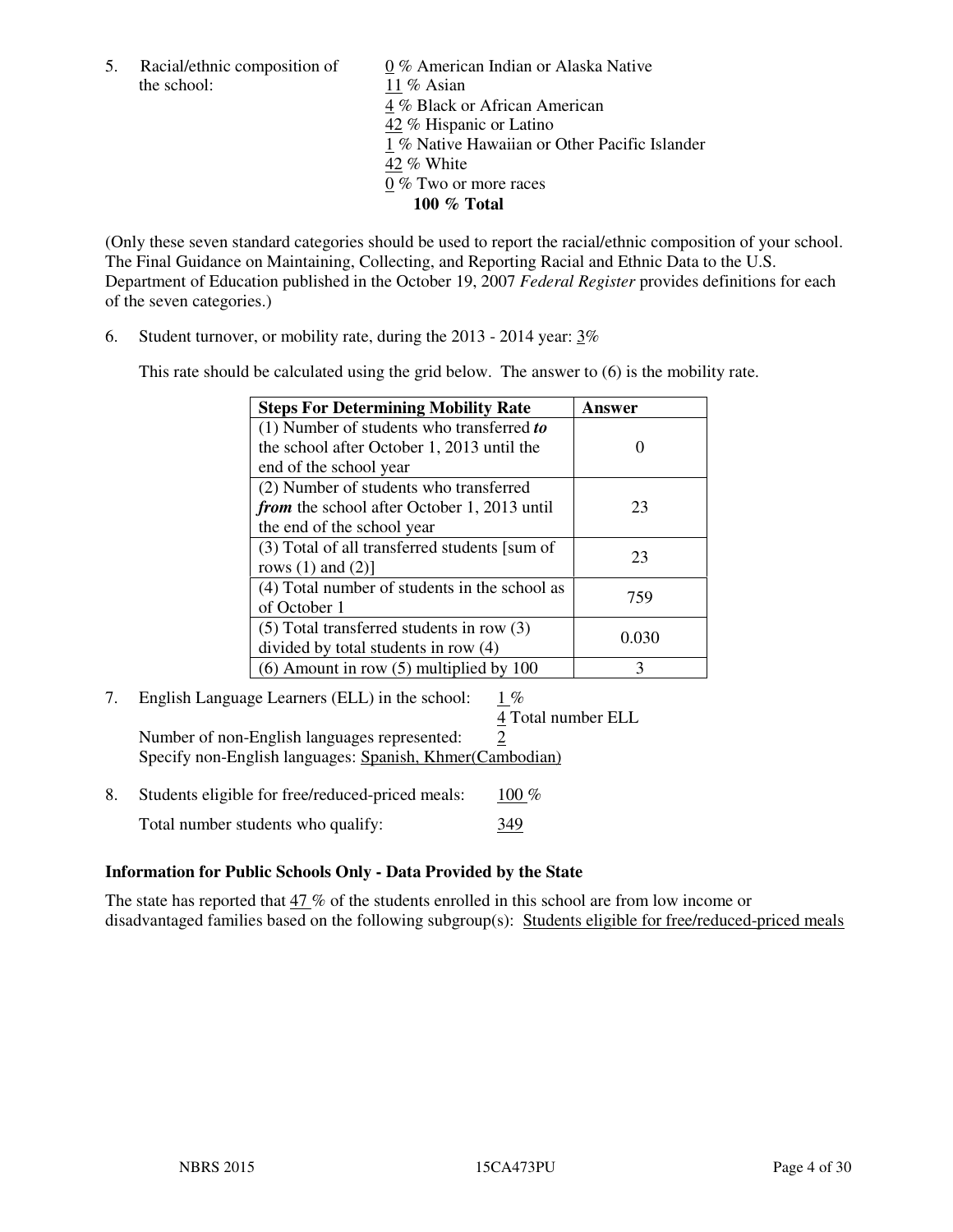the school: 11 % Asian

5. Racial/ethnic composition of  $0\%$  American Indian or Alaska Native 4 % Black or African American 42 % Hispanic or Latino 1 % Native Hawaiian or Other Pacific Islander 42 % White 0 % Two or more races **100 % Total** 

(Only these seven standard categories should be used to report the racial/ethnic composition of your school. The Final Guidance on Maintaining, Collecting, and Reporting Racial and Ethnic Data to the U.S. Department of Education published in the October 19, 2007 *Federal Register* provides definitions for each of the seven categories.)

6. Student turnover, or mobility rate, during the 2013 - 2014 year: 3%

This rate should be calculated using the grid below. The answer to (6) is the mobility rate.

| <b>Steps For Determining Mobility Rate</b>         | Answer |
|----------------------------------------------------|--------|
| $(1)$ Number of students who transferred to        |        |
| the school after October 1, 2013 until the         |        |
| end of the school year                             |        |
| (2) Number of students who transferred             |        |
| <i>from</i> the school after October 1, 2013 until | 23     |
| the end of the school year                         |        |
| (3) Total of all transferred students [sum of      | 23     |
| rows $(1)$ and $(2)$ ]                             |        |
| (4) Total number of students in the school as      | 759    |
| of October 1                                       |        |
| $(5)$ Total transferred students in row $(3)$      | 0.030  |
| divided by total students in row (4)               |        |
| $(6)$ Amount in row $(5)$ multiplied by 100        | 3      |

# 7. English Language Learners (ELL) in the school: 1 %

4 Total number ELL

Number of non-English languages represented: 2 Specify non-English languages: Spanish, Khmer(Cambodian)

8. Students eligible for free/reduced-priced meals:  $100\%$ Total number students who qualify: 349

#### **Information for Public Schools Only - Data Provided by the State**

The state has reported that 47 % of the students enrolled in this school are from low income or disadvantaged families based on the following subgroup(s): Students eligible for free/reduced-priced meals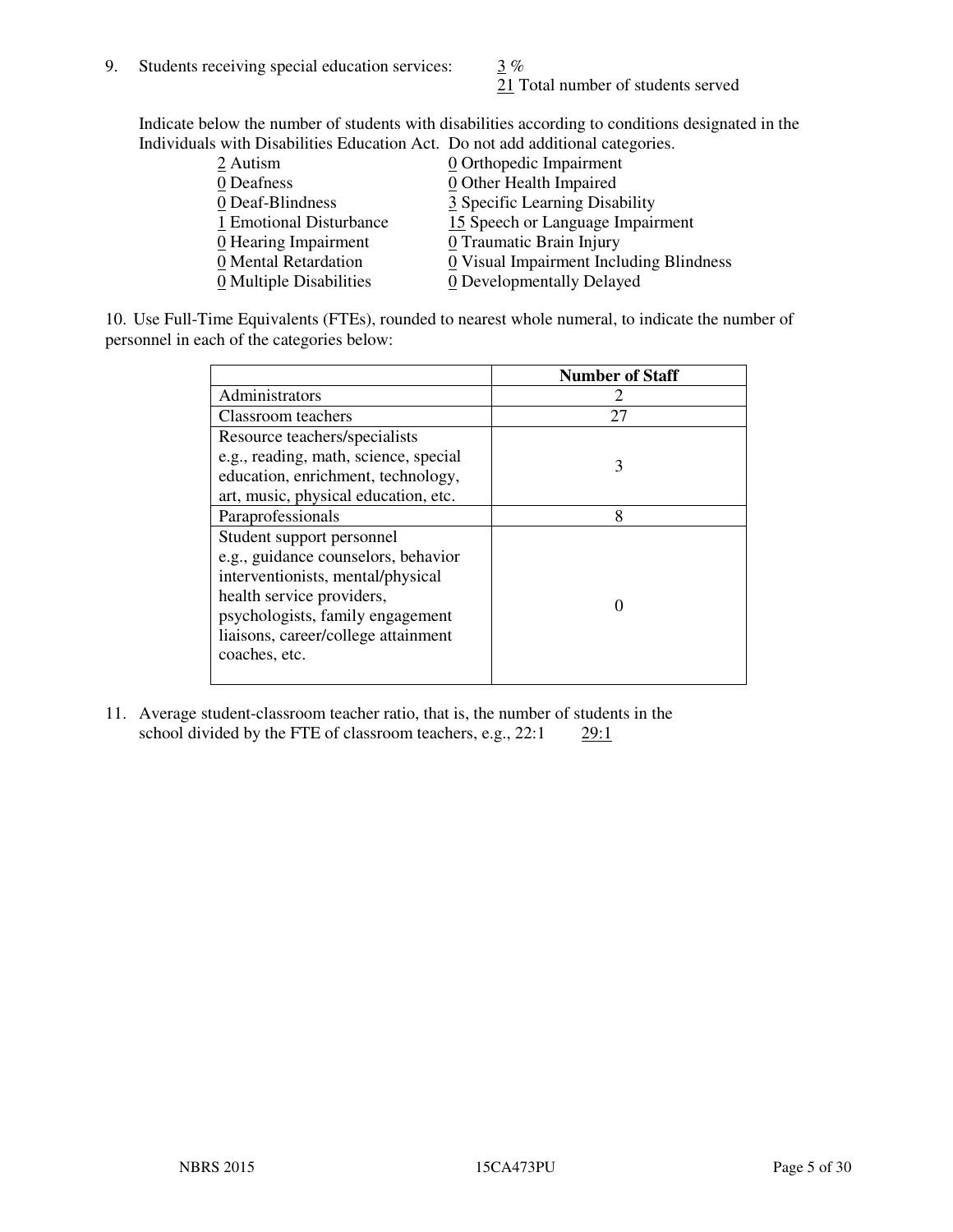21 Total number of students served

Indicate below the number of students with disabilities according to conditions designated in the Individuals with Disabilities Education Act. Do not add additional categories.

| THE LEW CONSTRUCTION OF THE CONSTRUCTION OF THE CONSTRUCTION OF A LOCAL CONSTRUCTION OF A CONSTRUCTION OF THE CONSTRUCTION OF THE CONSTRUCTION OF THE CONSTRUCTION OF THE CONSTRUCTION OF THE CONSTRUCTION OF THE CONSTRUCTIO |                                         |
|-------------------------------------------------------------------------------------------------------------------------------------------------------------------------------------------------------------------------------|-----------------------------------------|
| 2 Autism                                                                                                                                                                                                                      | $\underline{0}$ Orthopedic Impairment   |
| 0 Deafness                                                                                                                                                                                                                    | $\underline{0}$ Other Health Impaired   |
| 0 Deaf-Blindness                                                                                                                                                                                                              | 3 Specific Learning Disability          |
| 1 Emotional Disturbance                                                                                                                                                                                                       | 15 Speech or Language Impairment        |
| $\underline{0}$ Hearing Impairment                                                                                                                                                                                            | 0 Traumatic Brain Injury                |
| 0 Mental Retardation                                                                                                                                                                                                          | 0 Visual Impairment Including Blindness |
| 0 Multiple Disabilities                                                                                                                                                                                                       | 0 Developmentally Delayed               |
|                                                                                                                                                                                                                               |                                         |

10. Use Full-Time Equivalents (FTEs), rounded to nearest whole numeral, to indicate the number of personnel in each of the categories below:

|                                       | <b>Number of Staff</b> |
|---------------------------------------|------------------------|
| Administrators                        |                        |
| Classroom teachers                    | 27                     |
| Resource teachers/specialists         |                        |
| e.g., reading, math, science, special | 3                      |
| education, enrichment, technology,    |                        |
| art, music, physical education, etc.  |                        |
| Paraprofessionals                     | 8                      |
| Student support personnel             |                        |
| e.g., guidance counselors, behavior   |                        |
| interventionists, mental/physical     |                        |
| health service providers,             |                        |
| psychologists, family engagement      |                        |
| liaisons, career/college attainment   |                        |
| coaches, etc.                         |                        |
|                                       |                        |

11. Average student-classroom teacher ratio, that is, the number of students in the school divided by the FTE of classroom teachers, e.g.,  $22:1$   $29:1$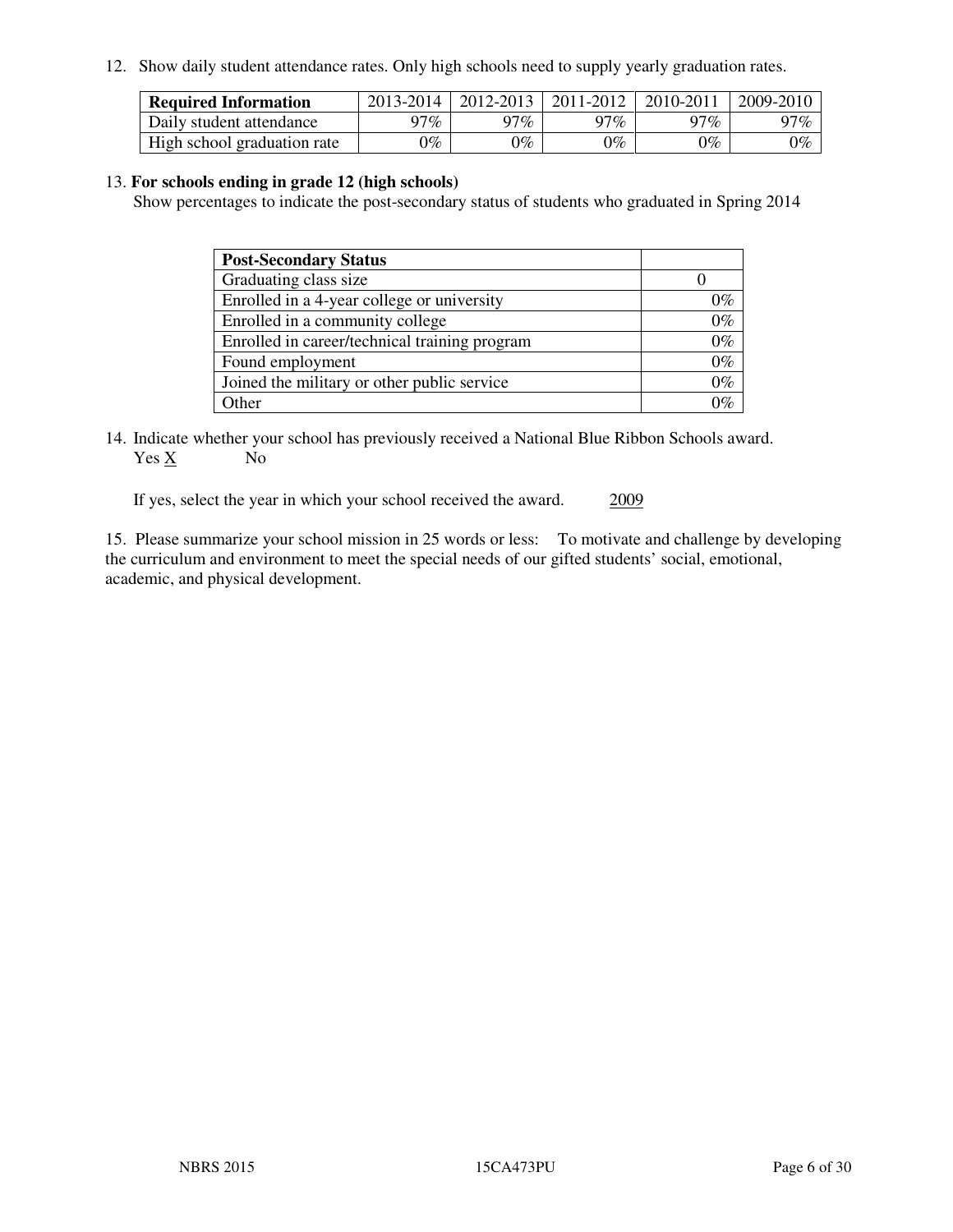12. Show daily student attendance rates. Only high schools need to supply yearly graduation rates.

| <b>Required Information</b> | 2013-2014     | 2012-2013       | 2011-2012 | 2010-2011 | 2009-2010 |
|-----------------------------|---------------|-----------------|-----------|-----------|-----------|
| Daily student attendance    | $17\%$        | 97%             | $77\%$    | $17\%$    | 97%       |
| High school graduation rate | $\gamma_{\%}$ | $\mathcal{V}_o$ | $0\%$     | 0%        | 0%        |

#### 13. **For schools ending in grade 12 (high schools)**

Show percentages to indicate the post-secondary status of students who graduated in Spring 2014

| <b>Post-Secondary Status</b>                  |       |
|-----------------------------------------------|-------|
| Graduating class size                         |       |
| Enrolled in a 4-year college or university    | 0%    |
| Enrolled in a community college               | $0\%$ |
| Enrolled in career/technical training program | $0\%$ |
| Found employment                              | $0\%$ |
| Joined the military or other public service   | $0\%$ |
| Other                                         | ገር/   |

14. Indicate whether your school has previously received a National Blue Ribbon Schools award. Yes X No

If yes, select the year in which your school received the award. 2009

15. Please summarize your school mission in 25 words or less: To motivate and challenge by developing the curriculum and environment to meet the special needs of our gifted students' social, emotional, academic, and physical development.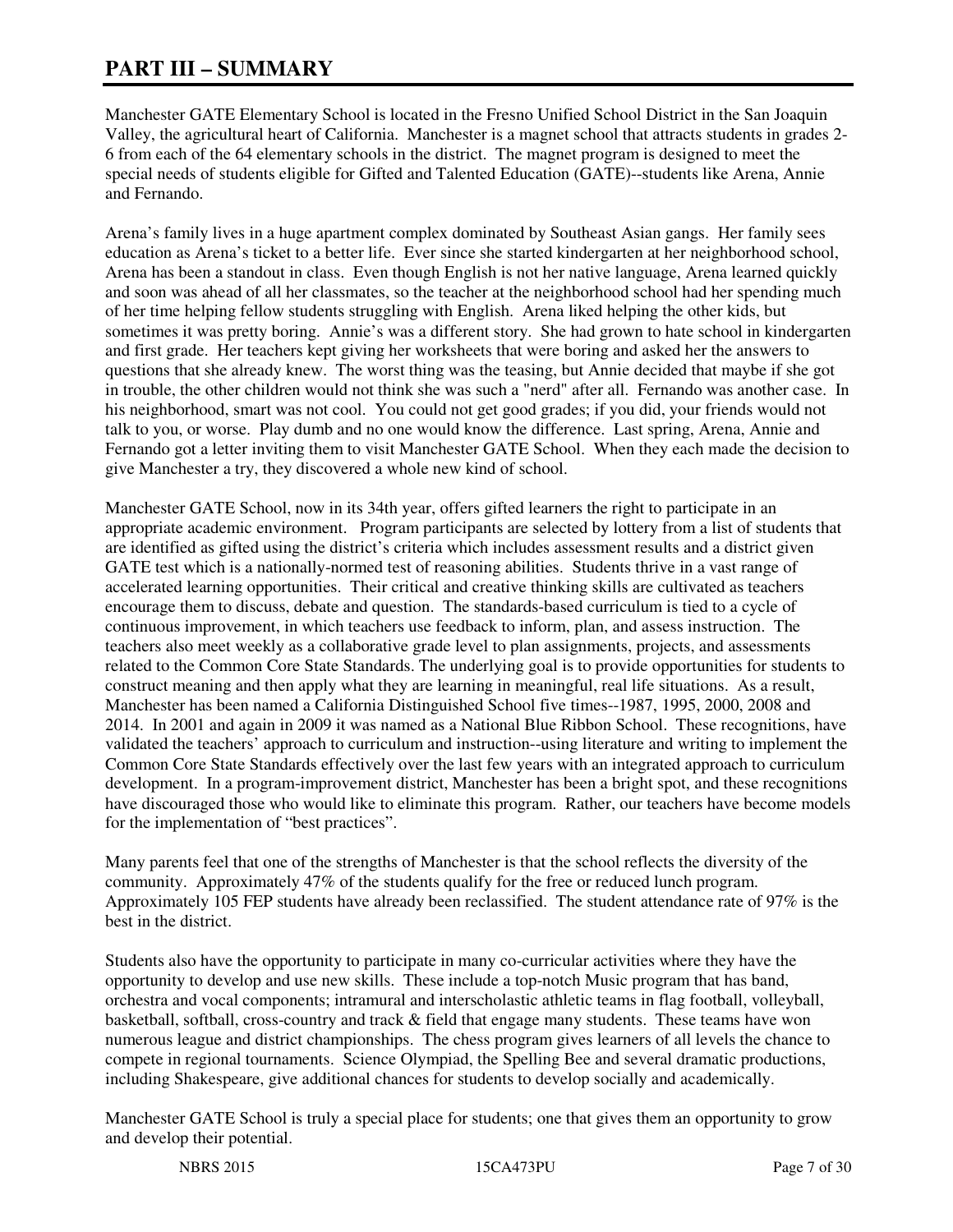# **PART III – SUMMARY**

Manchester GATE Elementary School is located in the Fresno Unified School District in the San Joaquin Valley, the agricultural heart of California. Manchester is a magnet school that attracts students in grades 2- 6 from each of the 64 elementary schools in the district. The magnet program is designed to meet the special needs of students eligible for Gifted and Talented Education (GATE)--students like Arena, Annie and Fernando.

Arena's family lives in a huge apartment complex dominated by Southeast Asian gangs. Her family sees education as Arena's ticket to a better life. Ever since she started kindergarten at her neighborhood school, Arena has been a standout in class. Even though English is not her native language, Arena learned quickly and soon was ahead of all her classmates, so the teacher at the neighborhood school had her spending much of her time helping fellow students struggling with English. Arena liked helping the other kids, but sometimes it was pretty boring. Annie's was a different story. She had grown to hate school in kindergarten and first grade. Her teachers kept giving her worksheets that were boring and asked her the answers to questions that she already knew. The worst thing was the teasing, but Annie decided that maybe if she got in trouble, the other children would not think she was such a "nerd" after all. Fernando was another case. In his neighborhood, smart was not cool. You could not get good grades; if you did, your friends would not talk to you, or worse. Play dumb and no one would know the difference. Last spring, Arena, Annie and Fernando got a letter inviting them to visit Manchester GATE School. When they each made the decision to give Manchester a try, they discovered a whole new kind of school.

Manchester GATE School, now in its 34th year, offers gifted learners the right to participate in an appropriate academic environment. Program participants are selected by lottery from a list of students that are identified as gifted using the district's criteria which includes assessment results and a district given GATE test which is a nationally-normed test of reasoning abilities. Students thrive in a vast range of accelerated learning opportunities. Their critical and creative thinking skills are cultivated as teachers encourage them to discuss, debate and question. The standards-based curriculum is tied to a cycle of continuous improvement, in which teachers use feedback to inform, plan, and assess instruction. The teachers also meet weekly as a collaborative grade level to plan assignments, projects, and assessments related to the Common Core State Standards. The underlying goal is to provide opportunities for students to construct meaning and then apply what they are learning in meaningful, real life situations. As a result, Manchester has been named a California Distinguished School five times--1987, 1995, 2000, 2008 and 2014. In 2001 and again in 2009 it was named as a National Blue Ribbon School. These recognitions, have validated the teachers' approach to curriculum and instruction--using literature and writing to implement the Common Core State Standards effectively over the last few years with an integrated approach to curriculum development. In a program-improvement district, Manchester has been a bright spot, and these recognitions have discouraged those who would like to eliminate this program. Rather, our teachers have become models for the implementation of "best practices".

Many parents feel that one of the strengths of Manchester is that the school reflects the diversity of the community. Approximately 47% of the students qualify for the free or reduced lunch program. Approximately 105 FEP students have already been reclassified. The student attendance rate of 97% is the best in the district.

Students also have the opportunity to participate in many co-curricular activities where they have the opportunity to develop and use new skills. These include a top-notch Music program that has band, orchestra and vocal components; intramural and interscholastic athletic teams in flag football, volleyball, basketball, softball, cross-country and track & field that engage many students. These teams have won numerous league and district championships. The chess program gives learners of all levels the chance to compete in regional tournaments. Science Olympiad, the Spelling Bee and several dramatic productions, including Shakespeare, give additional chances for students to develop socially and academically.

Manchester GATE School is truly a special place for students; one that gives them an opportunity to grow and develop their potential.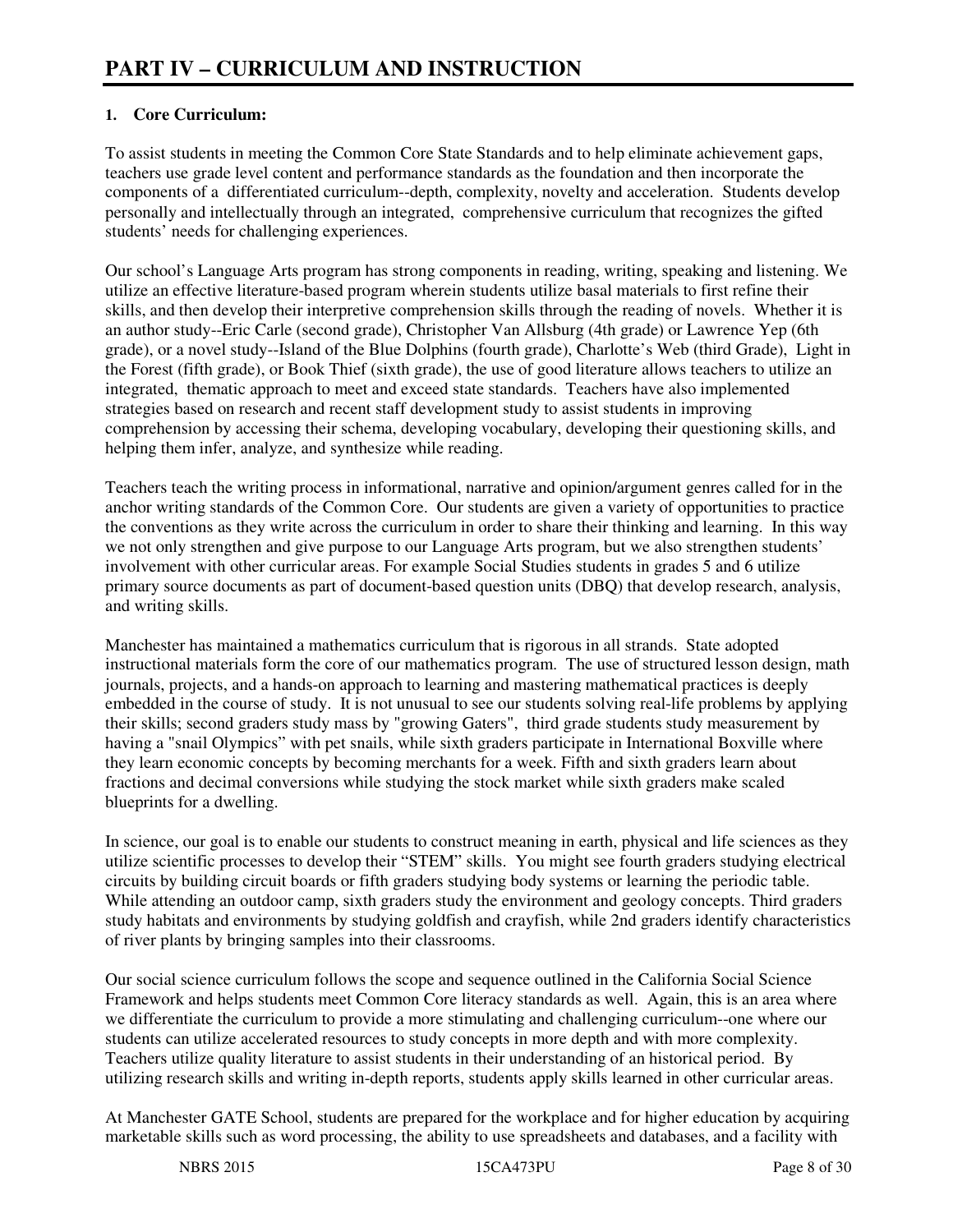### **1. Core Curriculum:**

To assist students in meeting the Common Core State Standards and to help eliminate achievement gaps, teachers use grade level content and performance standards as the foundation and then incorporate the components of a differentiated curriculum--depth, complexity, novelty and acceleration. Students develop personally and intellectually through an integrated, comprehensive curriculum that recognizes the gifted students' needs for challenging experiences.

Our school's Language Arts program has strong components in reading, writing, speaking and listening. We utilize an effective literature-based program wherein students utilize basal materials to first refine their skills, and then develop their interpretive comprehension skills through the reading of novels. Whether it is an author study--Eric Carle (second grade), Christopher Van Allsburg (4th grade) or Lawrence Yep (6th grade), or a novel study--Island of the Blue Dolphins (fourth grade), Charlotte's Web (third Grade), Light in the Forest (fifth grade), or Book Thief (sixth grade), the use of good literature allows teachers to utilize an integrated, thematic approach to meet and exceed state standards. Teachers have also implemented strategies based on research and recent staff development study to assist students in improving comprehension by accessing their schema, developing vocabulary, developing their questioning skills, and helping them infer, analyze, and synthesize while reading.

Teachers teach the writing process in informational, narrative and opinion/argument genres called for in the anchor writing standards of the Common Core. Our students are given a variety of opportunities to practice the conventions as they write across the curriculum in order to share their thinking and learning. In this way we not only strengthen and give purpose to our Language Arts program, but we also strengthen students' involvement with other curricular areas. For example Social Studies students in grades 5 and 6 utilize primary source documents as part of document-based question units (DBQ) that develop research, analysis, and writing skills.

Manchester has maintained a mathematics curriculum that is rigorous in all strands. State adopted instructional materials form the core of our mathematics program. The use of structured lesson design, math journals, projects, and a hands-on approach to learning and mastering mathematical practices is deeply embedded in the course of study. It is not unusual to see our students solving real-life problems by applying their skills; second graders study mass by "growing Gaters", third grade students study measurement by having a "snail Olympics" with pet snails, while sixth graders participate in International Boxville where they learn economic concepts by becoming merchants for a week. Fifth and sixth graders learn about fractions and decimal conversions while studying the stock market while sixth graders make scaled blueprints for a dwelling.

In science, our goal is to enable our students to construct meaning in earth, physical and life sciences as they utilize scientific processes to develop their "STEM" skills. You might see fourth graders studying electrical circuits by building circuit boards or fifth graders studying body systems or learning the periodic table. While attending an outdoor camp, sixth graders study the environment and geology concepts. Third graders study habitats and environments by studying goldfish and crayfish, while 2nd graders identify characteristics of river plants by bringing samples into their classrooms.

Our social science curriculum follows the scope and sequence outlined in the California Social Science Framework and helps students meet Common Core literacy standards as well. Again, this is an area where we differentiate the curriculum to provide a more stimulating and challenging curriculum--one where our students can utilize accelerated resources to study concepts in more depth and with more complexity. Teachers utilize quality literature to assist students in their understanding of an historical period. By utilizing research skills and writing in-depth reports, students apply skills learned in other curricular areas.

At Manchester GATE School, students are prepared for the workplace and for higher education by acquiring marketable skills such as word processing, the ability to use spreadsheets and databases, and a facility with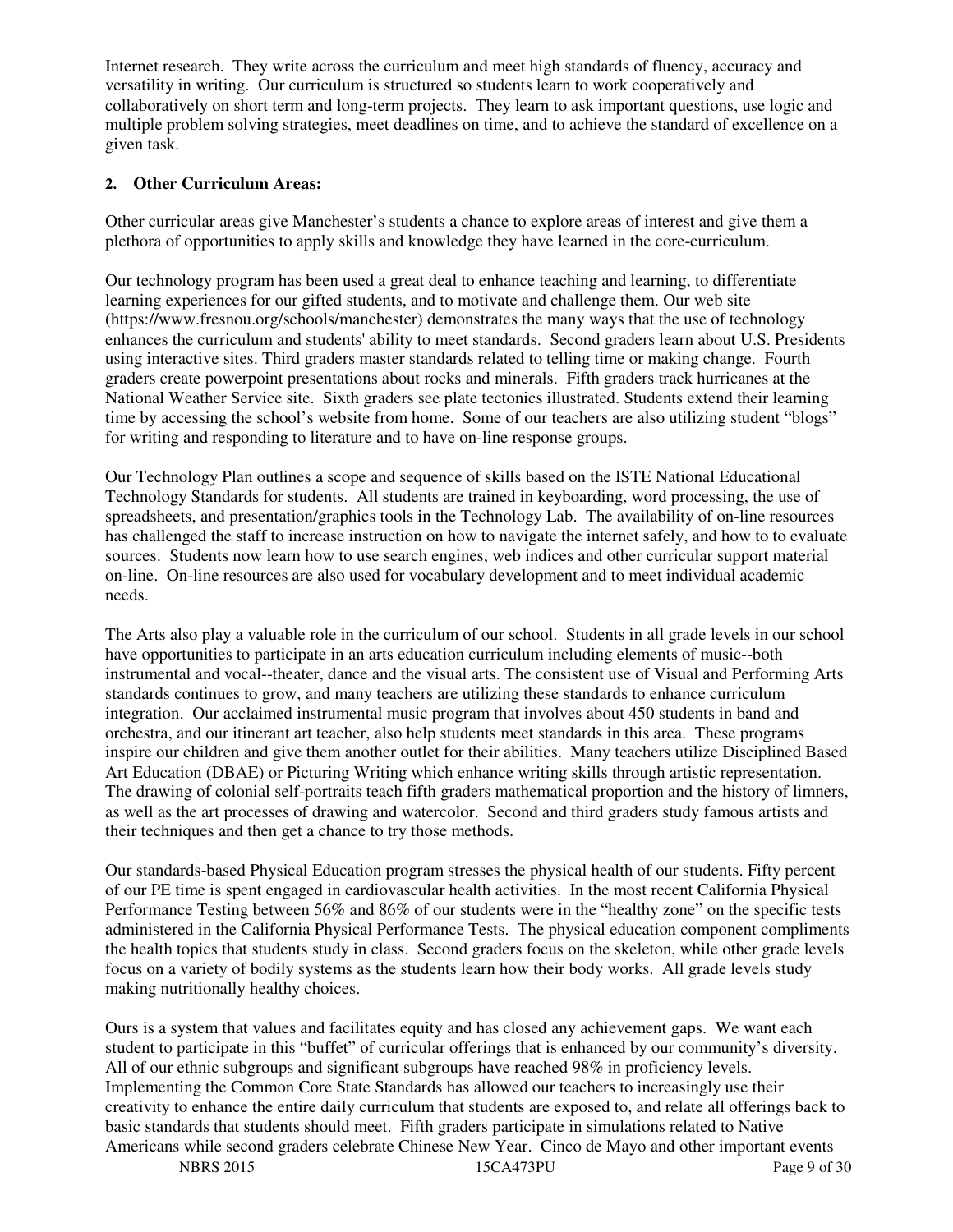Internet research. They write across the curriculum and meet high standards of fluency, accuracy and versatility in writing. Our curriculum is structured so students learn to work cooperatively and collaboratively on short term and long-term projects. They learn to ask important questions, use logic and multiple problem solving strategies, meet deadlines on time, and to achieve the standard of excellence on a given task.

#### **2. Other Curriculum Areas:**

Other curricular areas give Manchester's students a chance to explore areas of interest and give them a plethora of opportunities to apply skills and knowledge they have learned in the core-curriculum.

Our technology program has been used a great deal to enhance teaching and learning, to differentiate learning experiences for our gifted students, and to motivate and challenge them. Our web site (https://www.fresnou.org/schools/manchester) demonstrates the many ways that the use of technology enhances the curriculum and students' ability to meet standards. Second graders learn about U.S. Presidents using interactive sites. Third graders master standards related to telling time or making change. Fourth graders create powerpoint presentations about rocks and minerals. Fifth graders track hurricanes at the National Weather Service site. Sixth graders see plate tectonics illustrated. Students extend their learning time by accessing the school's website from home. Some of our teachers are also utilizing student "blogs" for writing and responding to literature and to have on-line response groups.

Our Technology Plan outlines a scope and sequence of skills based on the ISTE National Educational Technology Standards for students. All students are trained in keyboarding, word processing, the use of spreadsheets, and presentation/graphics tools in the Technology Lab. The availability of on-line resources has challenged the staff to increase instruction on how to navigate the internet safely, and how to to evaluate sources. Students now learn how to use search engines, web indices and other curricular support material on-line. On-line resources are also used for vocabulary development and to meet individual academic needs.

The Arts also play a valuable role in the curriculum of our school. Students in all grade levels in our school have opportunities to participate in an arts education curriculum including elements of music--both instrumental and vocal--theater, dance and the visual arts. The consistent use of Visual and Performing Arts standards continues to grow, and many teachers are utilizing these standards to enhance curriculum integration. Our acclaimed instrumental music program that involves about 450 students in band and orchestra, and our itinerant art teacher, also help students meet standards in this area. These programs inspire our children and give them another outlet for their abilities. Many teachers utilize Disciplined Based Art Education (DBAE) or Picturing Writing which enhance writing skills through artistic representation. The drawing of colonial self-portraits teach fifth graders mathematical proportion and the history of limners, as well as the art processes of drawing and watercolor. Second and third graders study famous artists and their techniques and then get a chance to try those methods.

Our standards-based Physical Education program stresses the physical health of our students. Fifty percent of our PE time is spent engaged in cardiovascular health activities. In the most recent California Physical Performance Testing between 56% and 86% of our students were in the "healthy zone" on the specific tests administered in the California Physical Performance Tests. The physical education component compliments the health topics that students study in class. Second graders focus on the skeleton, while other grade levels focus on a variety of bodily systems as the students learn how their body works. All grade levels study making nutritionally healthy choices.

Ours is a system that values and facilitates equity and has closed any achievement gaps. We want each student to participate in this "buffet" of curricular offerings that is enhanced by our community's diversity. All of our ethnic subgroups and significant subgroups have reached 98% in proficiency levels. Implementing the Common Core State Standards has allowed our teachers to increasingly use their creativity to enhance the entire daily curriculum that students are exposed to, and relate all offerings back to basic standards that students should meet. Fifth graders participate in simulations related to Native Americans while second graders celebrate Chinese New Year. Cinco de Mayo and other important events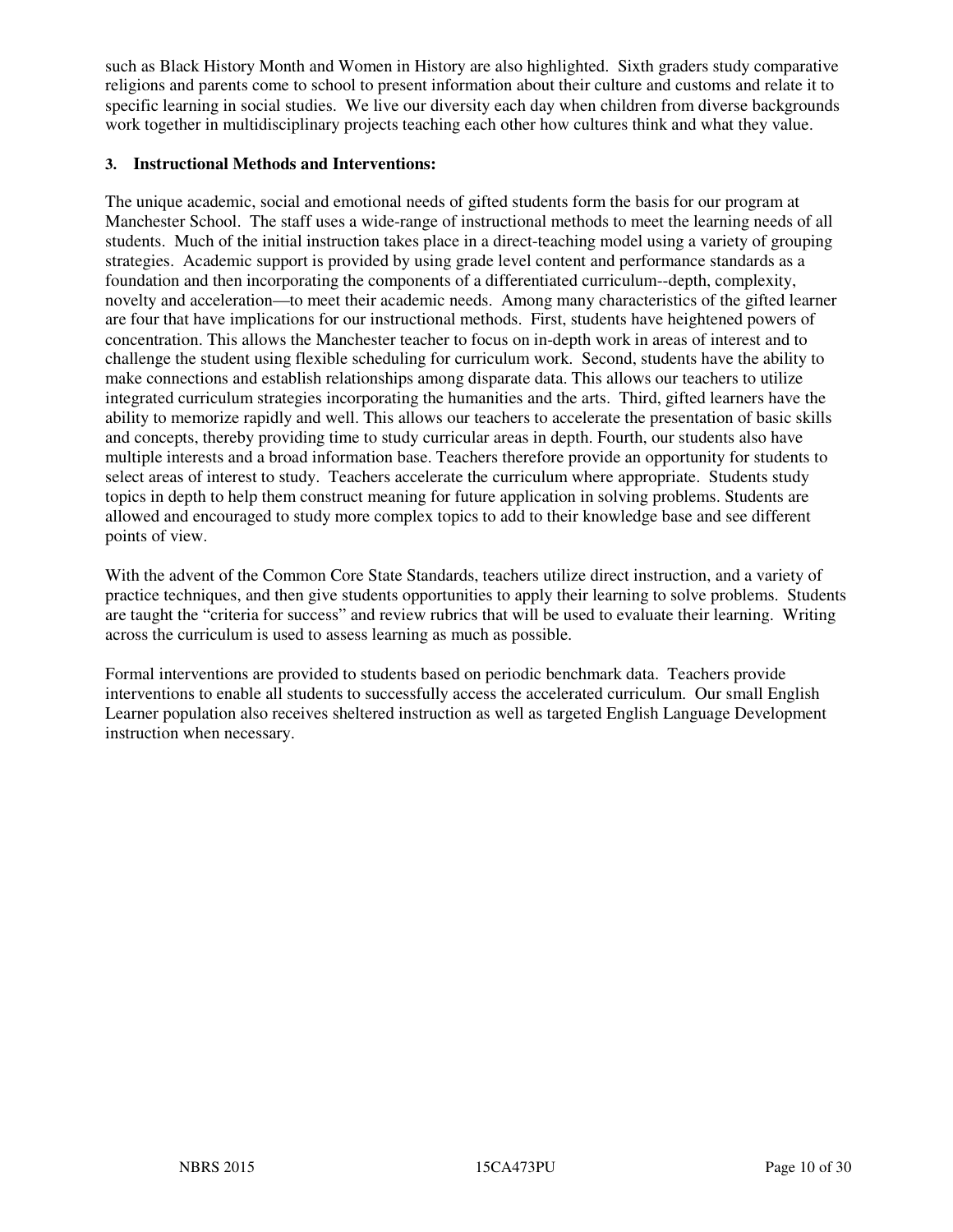such as Black History Month and Women in History are also highlighted. Sixth graders study comparative religions and parents come to school to present information about their culture and customs and relate it to specific learning in social studies. We live our diversity each day when children from diverse backgrounds work together in multidisciplinary projects teaching each other how cultures think and what they value.

#### **3. Instructional Methods and Interventions:**

The unique academic, social and emotional needs of gifted students form the basis for our program at Manchester School. The staff uses a wide-range of instructional methods to meet the learning needs of all students. Much of the initial instruction takes place in a direct-teaching model using a variety of grouping strategies. Academic support is provided by using grade level content and performance standards as a foundation and then incorporating the components of a differentiated curriculum--depth, complexity, novelty and acceleration—to meet their academic needs. Among many characteristics of the gifted learner are four that have implications for our instructional methods. First, students have heightened powers of concentration. This allows the Manchester teacher to focus on in-depth work in areas of interest and to challenge the student using flexible scheduling for curriculum work. Second, students have the ability to make connections and establish relationships among disparate data. This allows our teachers to utilize integrated curriculum strategies incorporating the humanities and the arts. Third, gifted learners have the ability to memorize rapidly and well. This allows our teachers to accelerate the presentation of basic skills and concepts, thereby providing time to study curricular areas in depth. Fourth, our students also have multiple interests and a broad information base. Teachers therefore provide an opportunity for students to select areas of interest to study. Teachers accelerate the curriculum where appropriate. Students study topics in depth to help them construct meaning for future application in solving problems. Students are allowed and encouraged to study more complex topics to add to their knowledge base and see different points of view.

With the advent of the Common Core State Standards, teachers utilize direct instruction, and a variety of practice techniques, and then give students opportunities to apply their learning to solve problems. Students are taught the "criteria for success" and review rubrics that will be used to evaluate their learning. Writing across the curriculum is used to assess learning as much as possible.

Formal interventions are provided to students based on periodic benchmark data. Teachers provide interventions to enable all students to successfully access the accelerated curriculum. Our small English Learner population also receives sheltered instruction as well as targeted English Language Development instruction when necessary.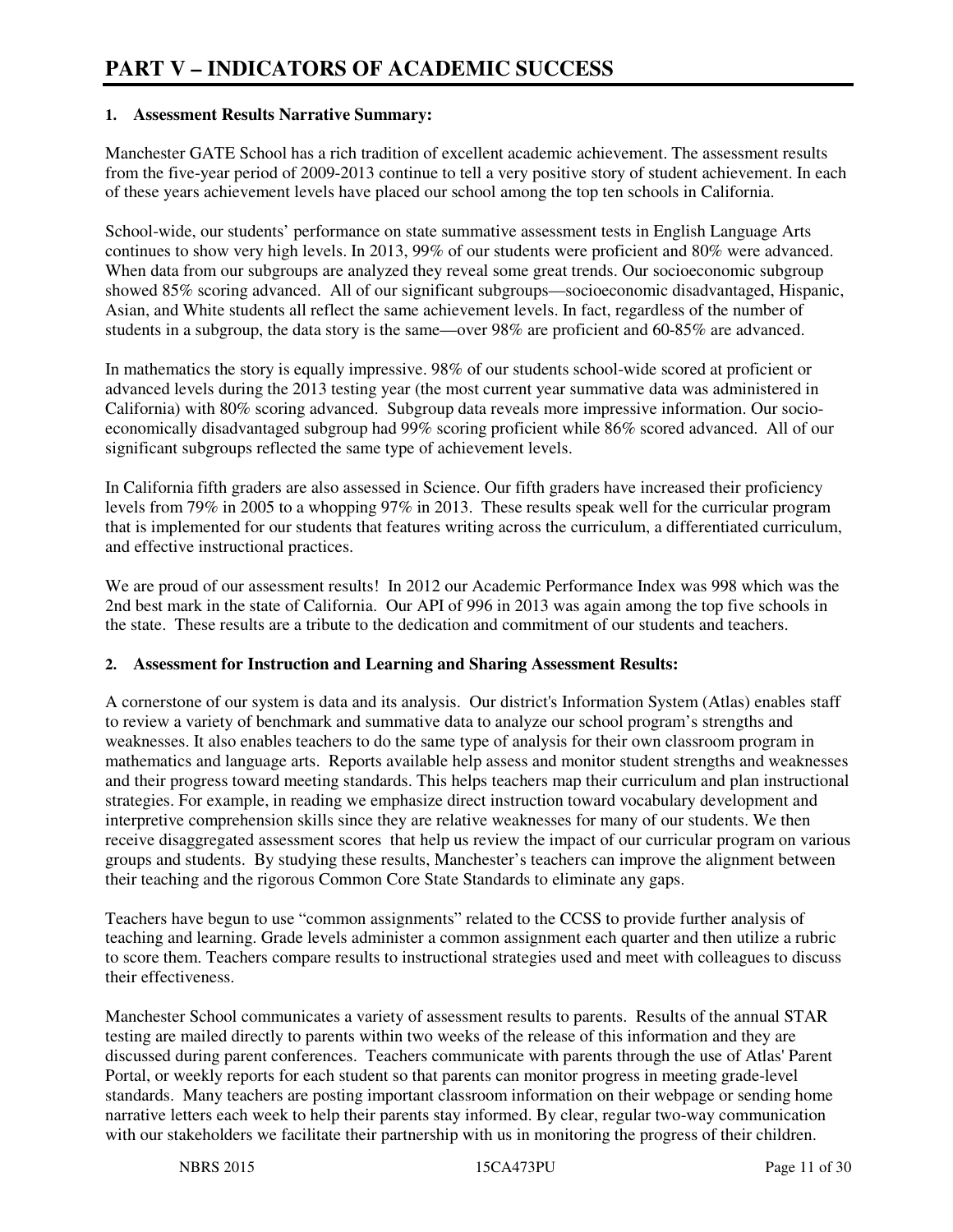#### **1. Assessment Results Narrative Summary:**

Manchester GATE School has a rich tradition of excellent academic achievement. The assessment results from the five-year period of 2009-2013 continue to tell a very positive story of student achievement. In each of these years achievement levels have placed our school among the top ten schools in California.

School-wide, our students' performance on state summative assessment tests in English Language Arts continues to show very high levels. In 2013, 99% of our students were proficient and 80% were advanced. When data from our subgroups are analyzed they reveal some great trends. Our socioeconomic subgroup showed 85% scoring advanced. All of our significant subgroups—socioeconomic disadvantaged, Hispanic, Asian, and White students all reflect the same achievement levels. In fact, regardless of the number of students in a subgroup, the data story is the same—over 98% are proficient and 60-85% are advanced.

In mathematics the story is equally impressive. 98% of our students school-wide scored at proficient or advanced levels during the 2013 testing year (the most current year summative data was administered in California) with 80% scoring advanced. Subgroup data reveals more impressive information. Our socioeconomically disadvantaged subgroup had 99% scoring proficient while 86% scored advanced. All of our significant subgroups reflected the same type of achievement levels.

In California fifth graders are also assessed in Science. Our fifth graders have increased their proficiency levels from 79% in 2005 to a whopping 97% in 2013. These results speak well for the curricular program that is implemented for our students that features writing across the curriculum, a differentiated curriculum, and effective instructional practices.

We are proud of our assessment results! In 2012 our Academic Performance Index was 998 which was the 2nd best mark in the state of California. Our API of 996 in 2013 was again among the top five schools in the state. These results are a tribute to the dedication and commitment of our students and teachers.

#### **2. Assessment for Instruction and Learning and Sharing Assessment Results:**

A cornerstone of our system is data and its analysis. Our district's Information System (Atlas) enables staff to review a variety of benchmark and summative data to analyze our school program's strengths and weaknesses. It also enables teachers to do the same type of analysis for their own classroom program in mathematics and language arts. Reports available help assess and monitor student strengths and weaknesses and their progress toward meeting standards. This helps teachers map their curriculum and plan instructional strategies. For example, in reading we emphasize direct instruction toward vocabulary development and interpretive comprehension skills since they are relative weaknesses for many of our students. We then receive disaggregated assessment scores that help us review the impact of our curricular program on various groups and students. By studying these results, Manchester's teachers can improve the alignment between their teaching and the rigorous Common Core State Standards to eliminate any gaps.

Teachers have begun to use "common assignments" related to the CCSS to provide further analysis of teaching and learning. Grade levels administer a common assignment each quarter and then utilize a rubric to score them. Teachers compare results to instructional strategies used and meet with colleagues to discuss their effectiveness.

Manchester School communicates a variety of assessment results to parents. Results of the annual STAR testing are mailed directly to parents within two weeks of the release of this information and they are discussed during parent conferences. Teachers communicate with parents through the use of Atlas' Parent Portal, or weekly reports for each student so that parents can monitor progress in meeting grade-level standards. Many teachers are posting important classroom information on their webpage or sending home narrative letters each week to help their parents stay informed. By clear, regular two-way communication with our stakeholders we facilitate their partnership with us in monitoring the progress of their children.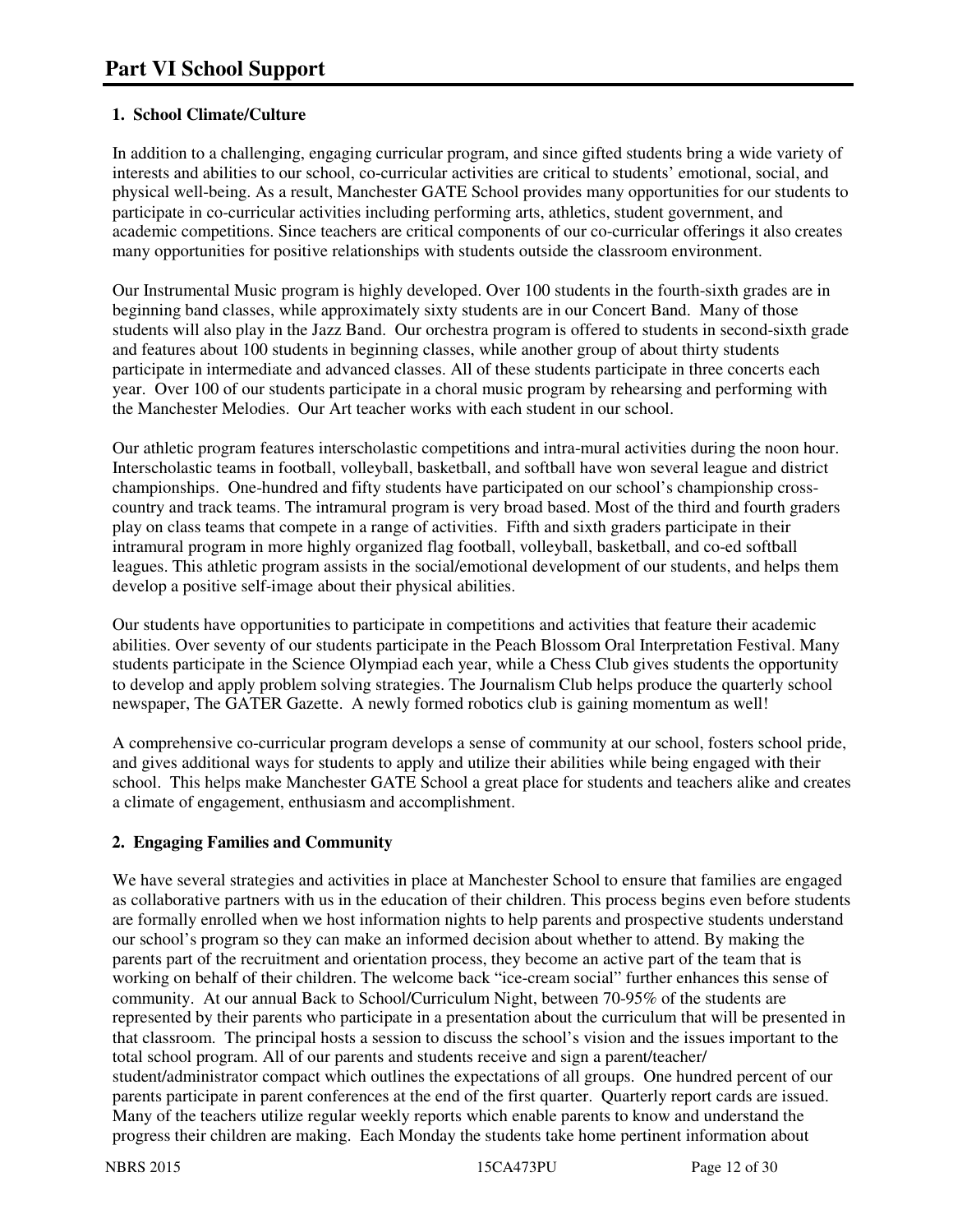# **1. School Climate/Culture**

In addition to a challenging, engaging curricular program, and since gifted students bring a wide variety of interests and abilities to our school, co-curricular activities are critical to students' emotional, social, and physical well-being. As a result, Manchester GATE School provides many opportunities for our students to participate in co-curricular activities including performing arts, athletics, student government, and academic competitions. Since teachers are critical components of our co-curricular offerings it also creates many opportunities for positive relationships with students outside the classroom environment.

Our Instrumental Music program is highly developed. Over 100 students in the fourth-sixth grades are in beginning band classes, while approximately sixty students are in our Concert Band. Many of those students will also play in the Jazz Band. Our orchestra program is offered to students in second-sixth grade and features about 100 students in beginning classes, while another group of about thirty students participate in intermediate and advanced classes. All of these students participate in three concerts each year. Over 100 of our students participate in a choral music program by rehearsing and performing with the Manchester Melodies. Our Art teacher works with each student in our school.

Our athletic program features interscholastic competitions and intra-mural activities during the noon hour. Interscholastic teams in football, volleyball, basketball, and softball have won several league and district championships. One-hundred and fifty students have participated on our school's championship crosscountry and track teams. The intramural program is very broad based. Most of the third and fourth graders play on class teams that compete in a range of activities. Fifth and sixth graders participate in their intramural program in more highly organized flag football, volleyball, basketball, and co-ed softball leagues. This athletic program assists in the social/emotional development of our students, and helps them develop a positive self-image about their physical abilities.

Our students have opportunities to participate in competitions and activities that feature their academic abilities. Over seventy of our students participate in the Peach Blossom Oral Interpretation Festival. Many students participate in the Science Olympiad each year, while a Chess Club gives students the opportunity to develop and apply problem solving strategies. The Journalism Club helps produce the quarterly school newspaper, The GATER Gazette. A newly formed robotics club is gaining momentum as well!

A comprehensive co-curricular program develops a sense of community at our school, fosters school pride, and gives additional ways for students to apply and utilize their abilities while being engaged with their school. This helps make Manchester GATE School a great place for students and teachers alike and creates a climate of engagement, enthusiasm and accomplishment.

#### **2. Engaging Families and Community**

We have several strategies and activities in place at Manchester School to ensure that families are engaged as collaborative partners with us in the education of their children. This process begins even before students are formally enrolled when we host information nights to help parents and prospective students understand our school's program so they can make an informed decision about whether to attend. By making the parents part of the recruitment and orientation process, they become an active part of the team that is working on behalf of their children. The welcome back "ice-cream social" further enhances this sense of community. At our annual Back to School/Curriculum Night, between 70-95% of the students are represented by their parents who participate in a presentation about the curriculum that will be presented in that classroom. The principal hosts a session to discuss the school's vision and the issues important to the total school program. All of our parents and students receive and sign a parent/teacher/ student/administrator compact which outlines the expectations of all groups. One hundred percent of our parents participate in parent conferences at the end of the first quarter. Quarterly report cards are issued. Many of the teachers utilize regular weekly reports which enable parents to know and understand the progress their children are making. Each Monday the students take home pertinent information about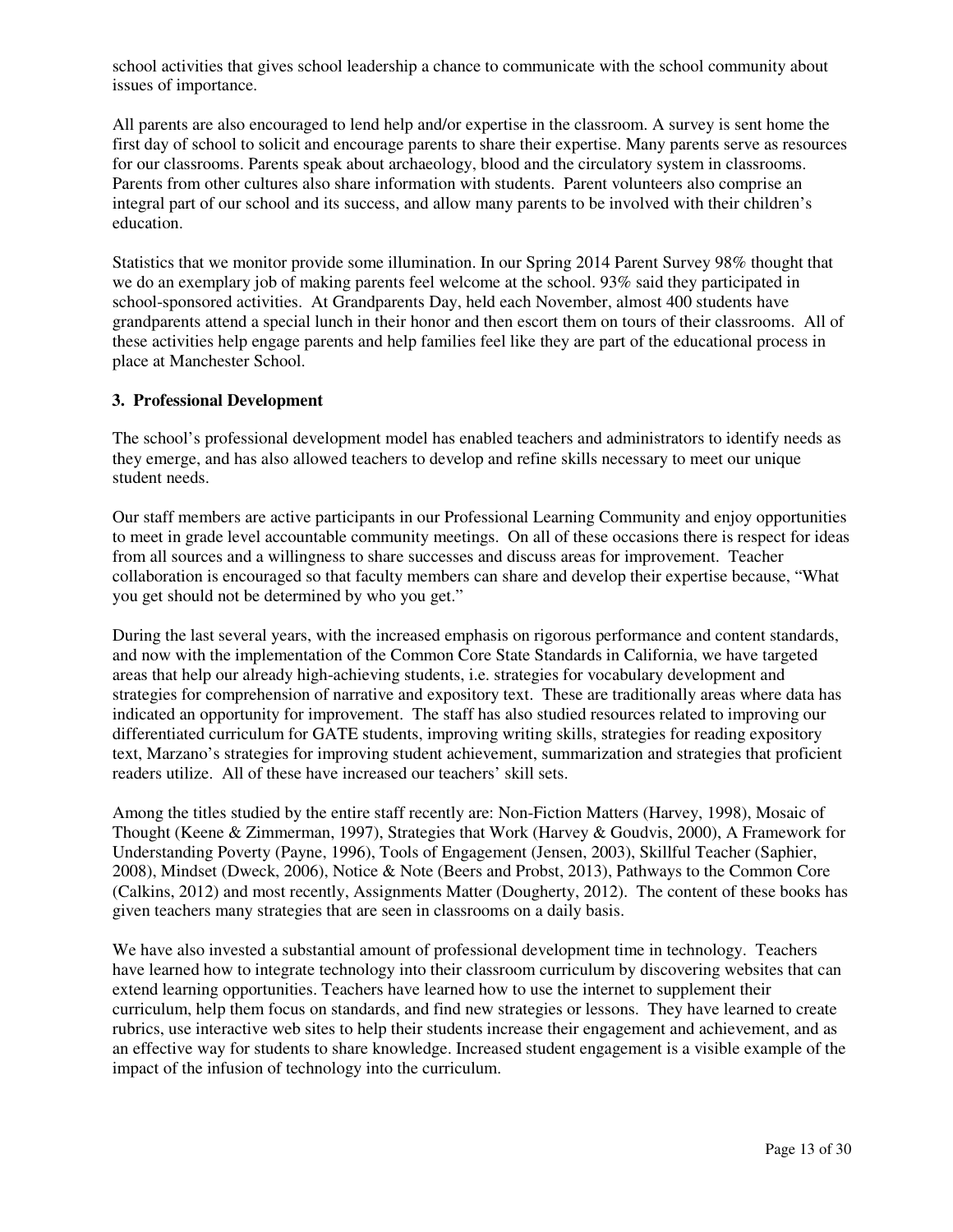school activities that gives school leadership a chance to communicate with the school community about issues of importance.

All parents are also encouraged to lend help and/or expertise in the classroom. A survey is sent home the first day of school to solicit and encourage parents to share their expertise. Many parents serve as resources for our classrooms. Parents speak about archaeology, blood and the circulatory system in classrooms. Parents from other cultures also share information with students. Parent volunteers also comprise an integral part of our school and its success, and allow many parents to be involved with their children's education.

Statistics that we monitor provide some illumination. In our Spring 2014 Parent Survey 98% thought that we do an exemplary job of making parents feel welcome at the school. 93% said they participated in school-sponsored activities. At Grandparents Day, held each November, almost 400 students have grandparents attend a special lunch in their honor and then escort them on tours of their classrooms. All of these activities help engage parents and help families feel like they are part of the educational process in place at Manchester School.

#### **3. Professional Development**

The school's professional development model has enabled teachers and administrators to identify needs as they emerge, and has also allowed teachers to develop and refine skills necessary to meet our unique student needs.

Our staff members are active participants in our Professional Learning Community and enjoy opportunities to meet in grade level accountable community meetings. On all of these occasions there is respect for ideas from all sources and a willingness to share successes and discuss areas for improvement. Teacher collaboration is encouraged so that faculty members can share and develop their expertise because, "What you get should not be determined by who you get."

During the last several years, with the increased emphasis on rigorous performance and content standards, and now with the implementation of the Common Core State Standards in California, we have targeted areas that help our already high-achieving students, i.e. strategies for vocabulary development and strategies for comprehension of narrative and expository text. These are traditionally areas where data has indicated an opportunity for improvement. The staff has also studied resources related to improving our differentiated curriculum for GATE students, improving writing skills, strategies for reading expository text, Marzano's strategies for improving student achievement, summarization and strategies that proficient readers utilize. All of these have increased our teachers' skill sets.

Among the titles studied by the entire staff recently are: Non-Fiction Matters (Harvey, 1998), Mosaic of Thought (Keene & Zimmerman, 1997), Strategies that Work (Harvey & Goudvis, 2000), A Framework for Understanding Poverty (Payne, 1996), Tools of Engagement (Jensen, 2003), Skillful Teacher (Saphier, 2008), Mindset (Dweck, 2006), Notice & Note (Beers and Probst, 2013), Pathways to the Common Core (Calkins, 2012) and most recently, Assignments Matter (Dougherty, 2012). The content of these books has given teachers many strategies that are seen in classrooms on a daily basis.

We have also invested a substantial amount of professional development time in technology. Teachers have learned how to integrate technology into their classroom curriculum by discovering websites that can extend learning opportunities. Teachers have learned how to use the internet to supplement their curriculum, help them focus on standards, and find new strategies or lessons. They have learned to create rubrics, use interactive web sites to help their students increase their engagement and achievement, and as an effective way for students to share knowledge. Increased student engagement is a visible example of the impact of the infusion of technology into the curriculum.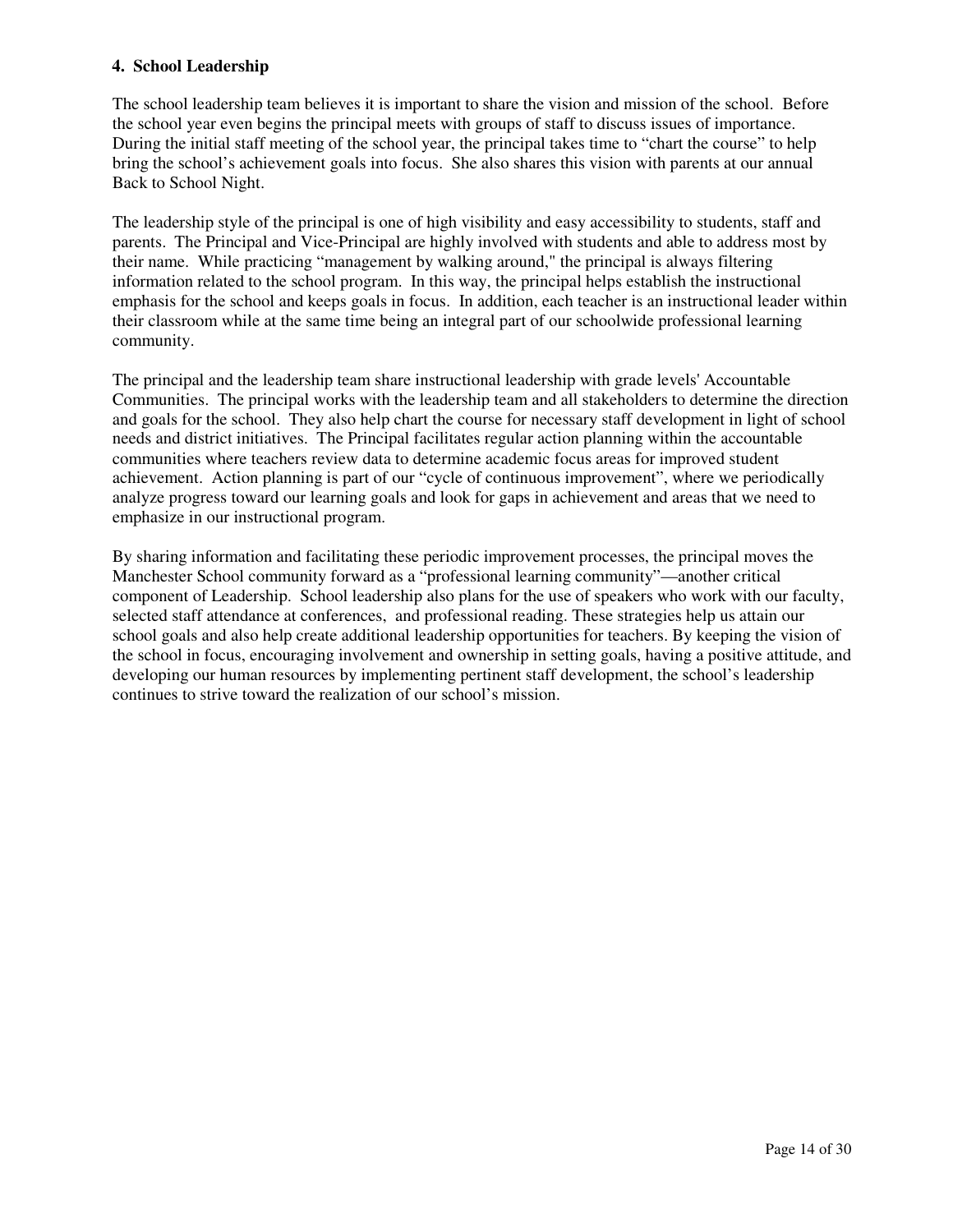#### **4. School Leadership**

The school leadership team believes it is important to share the vision and mission of the school. Before the school year even begins the principal meets with groups of staff to discuss issues of importance. During the initial staff meeting of the school year, the principal takes time to "chart the course" to help bring the school's achievement goals into focus. She also shares this vision with parents at our annual Back to School Night.

The leadership style of the principal is one of high visibility and easy accessibility to students, staff and parents. The Principal and Vice-Principal are highly involved with students and able to address most by their name. While practicing "management by walking around," the principal is always filtering information related to the school program. In this way, the principal helps establish the instructional emphasis for the school and keeps goals in focus. In addition, each teacher is an instructional leader within their classroom while at the same time being an integral part of our schoolwide professional learning community.

The principal and the leadership team share instructional leadership with grade levels' Accountable Communities. The principal works with the leadership team and all stakeholders to determine the direction and goals for the school. They also help chart the course for necessary staff development in light of school needs and district initiatives. The Principal facilitates regular action planning within the accountable communities where teachers review data to determine academic focus areas for improved student achievement. Action planning is part of our "cycle of continuous improvement", where we periodically analyze progress toward our learning goals and look for gaps in achievement and areas that we need to emphasize in our instructional program.

By sharing information and facilitating these periodic improvement processes, the principal moves the Manchester School community forward as a "professional learning community"—another critical component of Leadership. School leadership also plans for the use of speakers who work with our faculty, selected staff attendance at conferences, and professional reading. These strategies help us attain our school goals and also help create additional leadership opportunities for teachers. By keeping the vision of the school in focus, encouraging involvement and ownership in setting goals, having a positive attitude, and developing our human resources by implementing pertinent staff development, the school's leadership continues to strive toward the realization of our school's mission.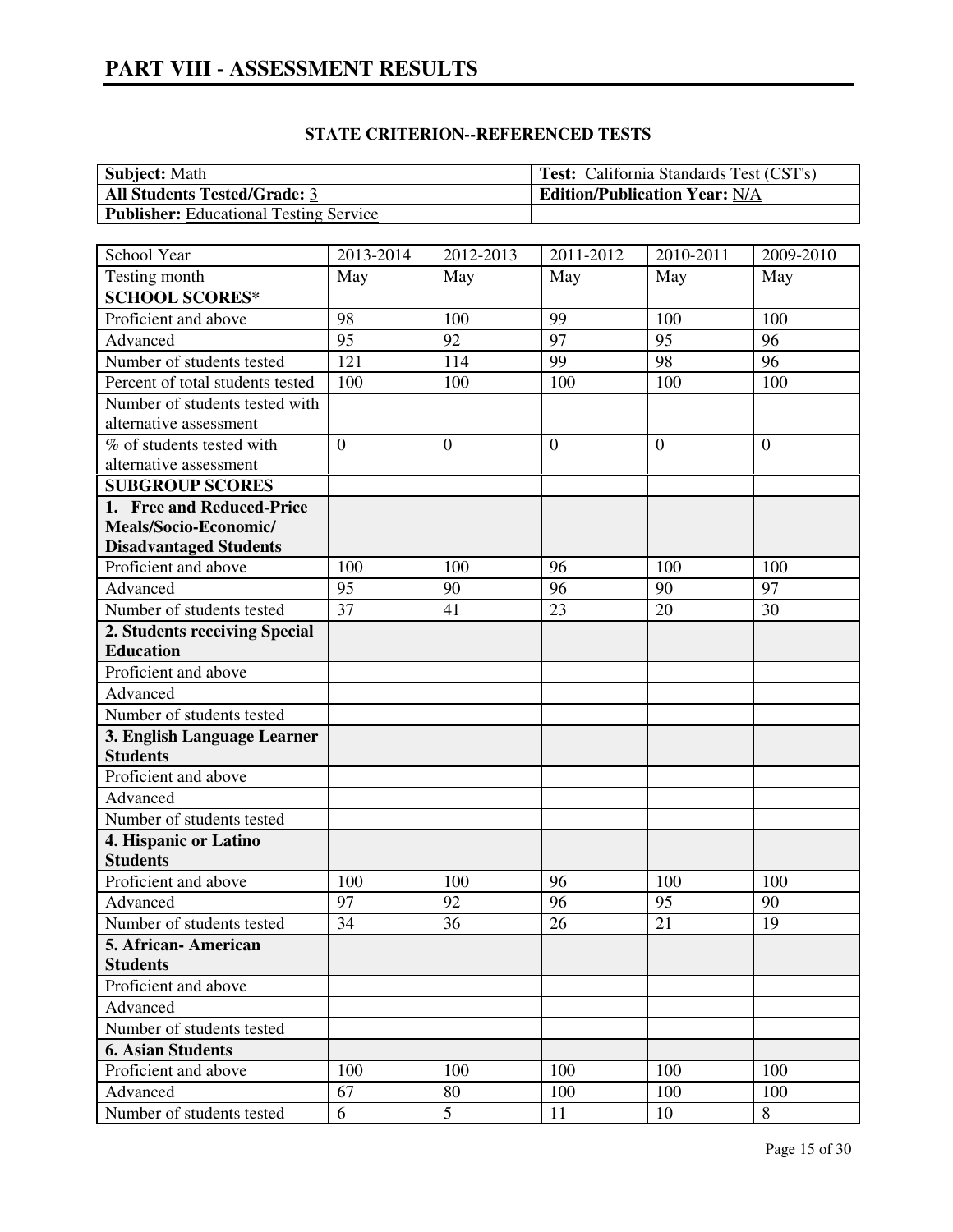| <b>Subject: Math</b>                          | <b>Test:</b> California Standards Test (CST's) |
|-----------------------------------------------|------------------------------------------------|
| <b>All Students Tested/Grade: 3</b>           | <b>Edition/Publication Year: N/A</b>           |
| <b>Publisher:</b> Educational Testing Service |                                                |

| School Year                      | 2013-2014      | 2012-2013        | $\overline{2011}$ -2012 | 2010-2011       | 2009-2010      |
|----------------------------------|----------------|------------------|-------------------------|-----------------|----------------|
| Testing month                    | May            | May              | May                     | May             | May            |
| <b>SCHOOL SCORES*</b>            |                |                  |                         |                 |                |
| Proficient and above             | 98             | 100              | 99                      | 100             | 100            |
| Advanced                         | 95             | 92               | $\overline{97}$         | $\overline{95}$ | 96             |
| Number of students tested        | 121            | 114              | 99                      | 98              | 96             |
| Percent of total students tested | 100            | 100              | 100                     | 100             | 100            |
| Number of students tested with   |                |                  |                         |                 |                |
| alternative assessment           |                |                  |                         |                 |                |
| % of students tested with        | $\overline{0}$ | $\boldsymbol{0}$ | $\overline{0}$          | $\theta$        | $\overline{0}$ |
| alternative assessment           |                |                  |                         |                 |                |
| <b>SUBGROUP SCORES</b>           |                |                  |                         |                 |                |
| 1. Free and Reduced-Price        |                |                  |                         |                 |                |
| Meals/Socio-Economic/            |                |                  |                         |                 |                |
| <b>Disadvantaged Students</b>    |                |                  |                         |                 |                |
| Proficient and above             | 100            | 100              | 96                      | 100             | 100            |
| Advanced                         | 95             | 90               | 96                      | 90              | 97             |
| Number of students tested        | 37             | 41               | 23                      | 20              | 30             |
| 2. Students receiving Special    |                |                  |                         |                 |                |
| <b>Education</b>                 |                |                  |                         |                 |                |
| Proficient and above             |                |                  |                         |                 |                |
| Advanced                         |                |                  |                         |                 |                |
| Number of students tested        |                |                  |                         |                 |                |
| 3. English Language Learner      |                |                  |                         |                 |                |
| <b>Students</b>                  |                |                  |                         |                 |                |
| Proficient and above             |                |                  |                         |                 |                |
| Advanced                         |                |                  |                         |                 |                |
| Number of students tested        |                |                  |                         |                 |                |
| 4. Hispanic or Latino            |                |                  |                         |                 |                |
| <b>Students</b>                  |                |                  |                         |                 |                |
| Proficient and above             | 100            | 100              | 96                      | 100             | 100            |
| Advanced                         | 97             | 92               | 96                      | 95              | 90             |
| Number of students tested        | 34             | $\overline{36}$  | 26                      | 21              | 19             |
| 5. African - American            |                |                  |                         |                 |                |
| <b>Students</b>                  |                |                  |                         |                 |                |
| Proficient and above             |                |                  |                         |                 |                |
| Advanced                         |                |                  |                         |                 |                |
| Number of students tested        |                |                  |                         |                 |                |
| <b>6. Asian Students</b>         |                |                  |                         |                 |                |
| Proficient and above             | 100            | 100              | 100                     | 100             | 100            |
| Advanced                         | 67             | 80               | 100                     | 100             | 100            |
| Number of students tested        | 6              | 5                | 11                      | 10              | 8              |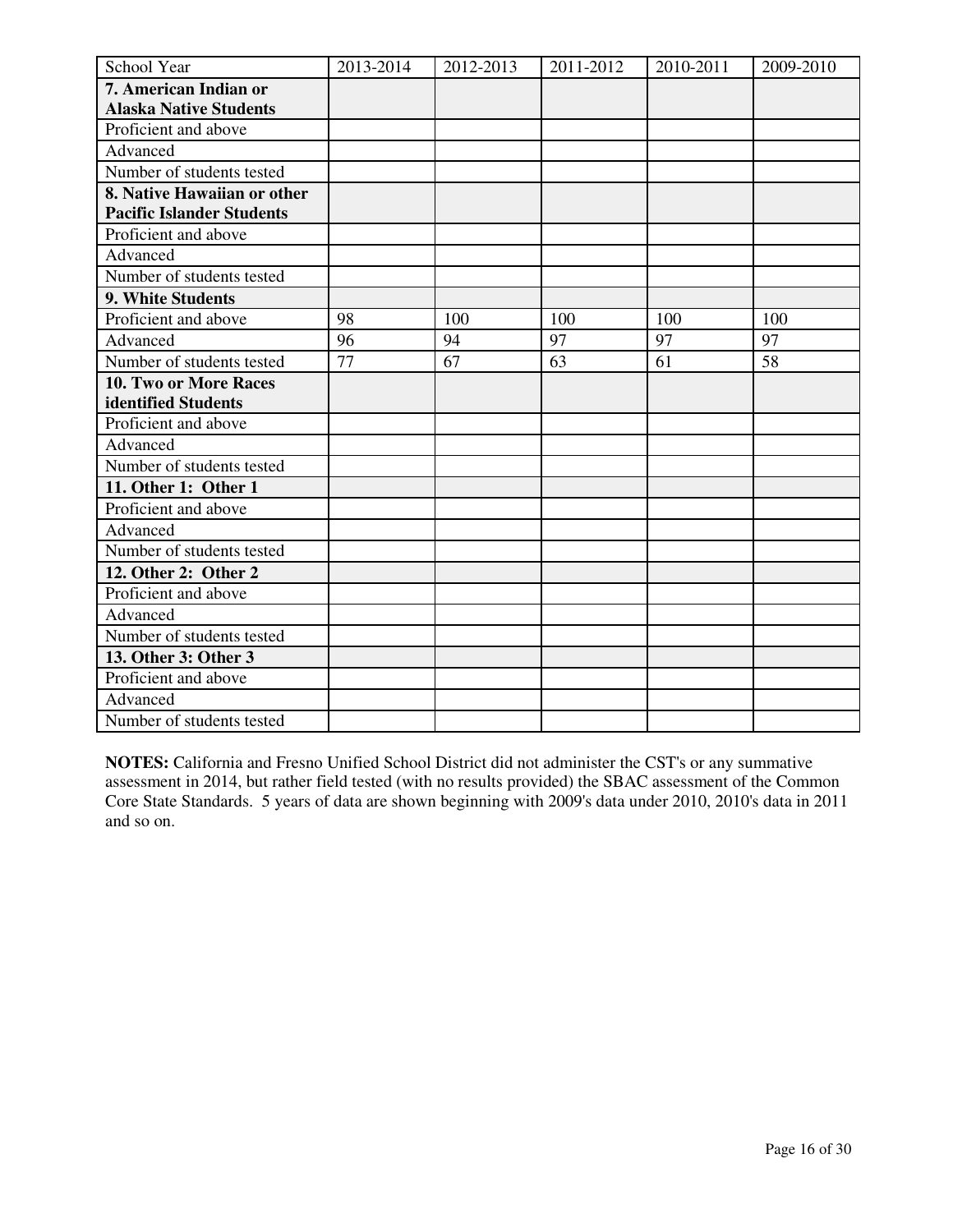| School Year                      | 2013-2014 | 2012-2013 | 2011-2012 | 2010-2011 | 2009-2010 |
|----------------------------------|-----------|-----------|-----------|-----------|-----------|
| 7. American Indian or            |           |           |           |           |           |
| <b>Alaska Native Students</b>    |           |           |           |           |           |
| Proficient and above             |           |           |           |           |           |
| Advanced                         |           |           |           |           |           |
| Number of students tested        |           |           |           |           |           |
| 8. Native Hawaiian or other      |           |           |           |           |           |
| <b>Pacific Islander Students</b> |           |           |           |           |           |
| Proficient and above             |           |           |           |           |           |
| Advanced                         |           |           |           |           |           |
| Number of students tested        |           |           |           |           |           |
| 9. White Students                |           |           |           |           |           |
| Proficient and above             | 98        | 100       | 100       | 100       | 100       |
| Advanced                         | 96        | 94        | 97        | 97        | 97        |
| Number of students tested        | 77        | 67        | 63        | 61        | 58        |
| 10. Two or More Races            |           |           |           |           |           |
| identified Students              |           |           |           |           |           |
| Proficient and above             |           |           |           |           |           |
| Advanced                         |           |           |           |           |           |
| Number of students tested        |           |           |           |           |           |
| 11. Other 1: Other 1             |           |           |           |           |           |
| Proficient and above             |           |           |           |           |           |
| Advanced                         |           |           |           |           |           |
| Number of students tested        |           |           |           |           |           |
| 12. Other 2: Other 2             |           |           |           |           |           |
| Proficient and above             |           |           |           |           |           |
| Advanced                         |           |           |           |           |           |
| Number of students tested        |           |           |           |           |           |
| 13. Other 3: Other 3             |           |           |           |           |           |
| Proficient and above             |           |           |           |           |           |
| Advanced                         |           |           |           |           |           |
| Number of students tested        |           |           |           |           |           |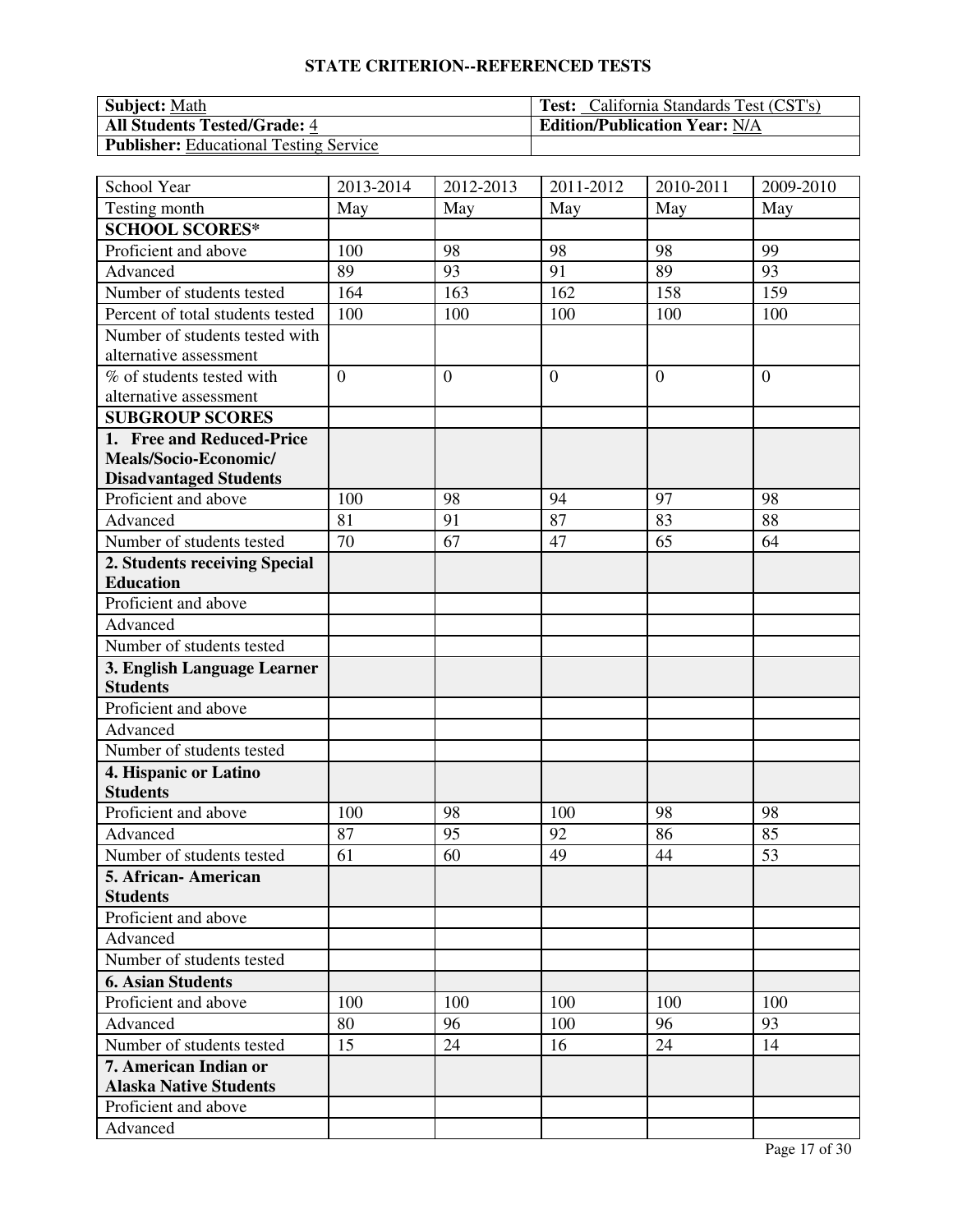| <b>Subject:</b> Math                          | <b>Test:</b> California Standards Test (CST's) |
|-----------------------------------------------|------------------------------------------------|
| <b>All Students Tested/Grade: 4</b>           | <b>Edition/Publication Year: N/A</b>           |
| <b>Publisher:</b> Educational Testing Service |                                                |

| School Year                                    | 2013-2014      | 2012-2013      | 2011-2012      | 2010-2011      | 2009-2010      |
|------------------------------------------------|----------------|----------------|----------------|----------------|----------------|
| Testing month                                  | May            | May            | May            | May            | May            |
| <b>SCHOOL SCORES*</b>                          |                |                |                |                |                |
| Proficient and above                           | 100            | 98             | 98             | 98             | 99             |
| Advanced                                       | 89             | 93             | 91             | 89             | 93             |
| Number of students tested                      | 164            | 163            | 162            | 158            | 159            |
| Percent of total students tested               | 100            | 100            | 100            | 100            | 100            |
| Number of students tested with                 |                |                |                |                |                |
| alternative assessment                         |                |                |                |                |                |
| % of students tested with                      | $\overline{0}$ | $\overline{0}$ | $\overline{0}$ | $\overline{0}$ | $\overline{0}$ |
| alternative assessment                         |                |                |                |                |                |
| <b>SUBGROUP SCORES</b>                         |                |                |                |                |                |
| 1. Free and Reduced-Price                      |                |                |                |                |                |
| Meals/Socio-Economic/                          |                |                |                |                |                |
| <b>Disadvantaged Students</b>                  |                |                |                |                |                |
| Proficient and above                           | 100            | 98             | 94             | 97             | 98             |
| Advanced                                       | 81             | 91             | 87             | 83             | 88             |
| Number of students tested                      | 70             | 67             | 47             | 65             | 64             |
| 2. Students receiving Special                  |                |                |                |                |                |
| <b>Education</b>                               |                |                |                |                |                |
| Proficient and above                           |                |                |                |                |                |
| Advanced                                       |                |                |                |                |                |
| Number of students tested                      |                |                |                |                |                |
| 3. English Language Learner<br><b>Students</b> |                |                |                |                |                |
| Proficient and above                           |                |                |                |                |                |
| Advanced                                       |                |                |                |                |                |
| Number of students tested                      |                |                |                |                |                |
| 4. Hispanic or Latino                          |                |                |                |                |                |
| <b>Students</b>                                |                |                |                |                |                |
| Proficient and above                           | 100            | 98             | 100            | 98             | 98             |
| Advanced                                       | 87             | 95             | 92             | 86             | 85             |
| Number of students tested                      | 61             | 60             | 49             | 44             | 53             |
| 5. African-American                            |                |                |                |                |                |
| <b>Students</b>                                |                |                |                |                |                |
| Proficient and above                           |                |                |                |                |                |
| Advanced                                       |                |                |                |                |                |
| Number of students tested                      |                |                |                |                |                |
| <b>6. Asian Students</b>                       |                |                |                |                |                |
| Proficient and above                           | 100            | 100            | 100            | 100            | 100            |
| Advanced                                       | 80             | 96             | 100            | 96             | 93             |
| Number of students tested                      | 15             | 24             | 16             | 24             | 14             |
| 7. American Indian or                          |                |                |                |                |                |
| <b>Alaska Native Students</b>                  |                |                |                |                |                |
| Proficient and above                           |                |                |                |                |                |
| Advanced                                       |                |                |                |                |                |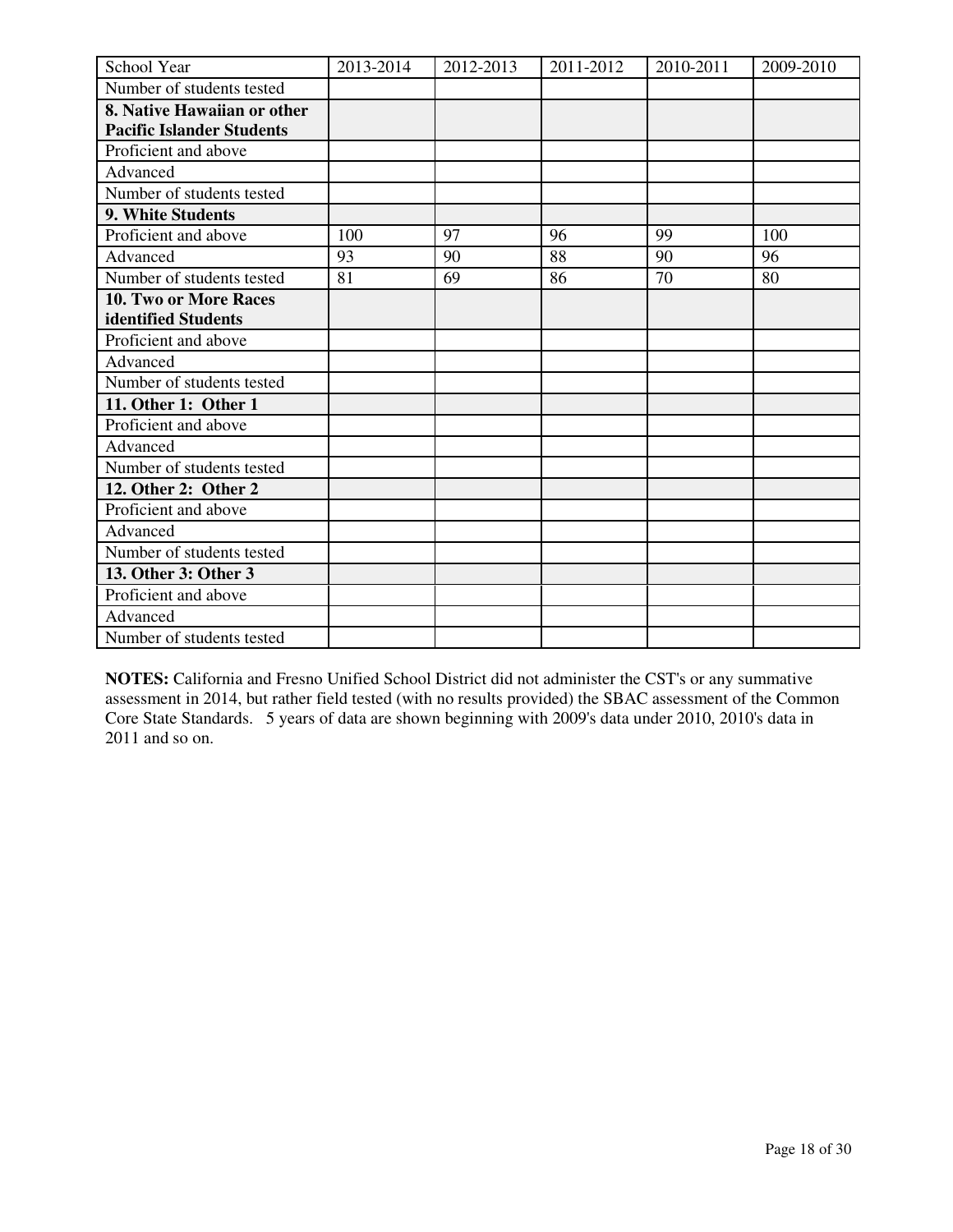| School Year                      | 2013-2014 | 2012-2013 | 2011-2012 | 2010-2011 | 2009-2010 |
|----------------------------------|-----------|-----------|-----------|-----------|-----------|
| Number of students tested        |           |           |           |           |           |
| 8. Native Hawaiian or other      |           |           |           |           |           |
| <b>Pacific Islander Students</b> |           |           |           |           |           |
| Proficient and above             |           |           |           |           |           |
| Advanced                         |           |           |           |           |           |
| Number of students tested        |           |           |           |           |           |
| 9. White Students                |           |           |           |           |           |
| Proficient and above             | 100       | 97        | 96        | 99        | 100       |
| Advanced                         | 93        | 90        | 88        | 90        | 96        |
| Number of students tested        | 81        | 69        | 86        | 70        | 80        |
| 10. Two or More Races            |           |           |           |           |           |
| identified Students              |           |           |           |           |           |
| Proficient and above             |           |           |           |           |           |
| Advanced                         |           |           |           |           |           |
| Number of students tested        |           |           |           |           |           |
| 11. Other 1: Other 1             |           |           |           |           |           |
| Proficient and above             |           |           |           |           |           |
| Advanced                         |           |           |           |           |           |
| Number of students tested        |           |           |           |           |           |
| 12. Other 2: Other 2             |           |           |           |           |           |
| Proficient and above             |           |           |           |           |           |
| Advanced                         |           |           |           |           |           |
| Number of students tested        |           |           |           |           |           |
| 13. Other 3: Other 3             |           |           |           |           |           |
| Proficient and above             |           |           |           |           |           |
| Advanced                         |           |           |           |           |           |
| Number of students tested        |           |           |           |           |           |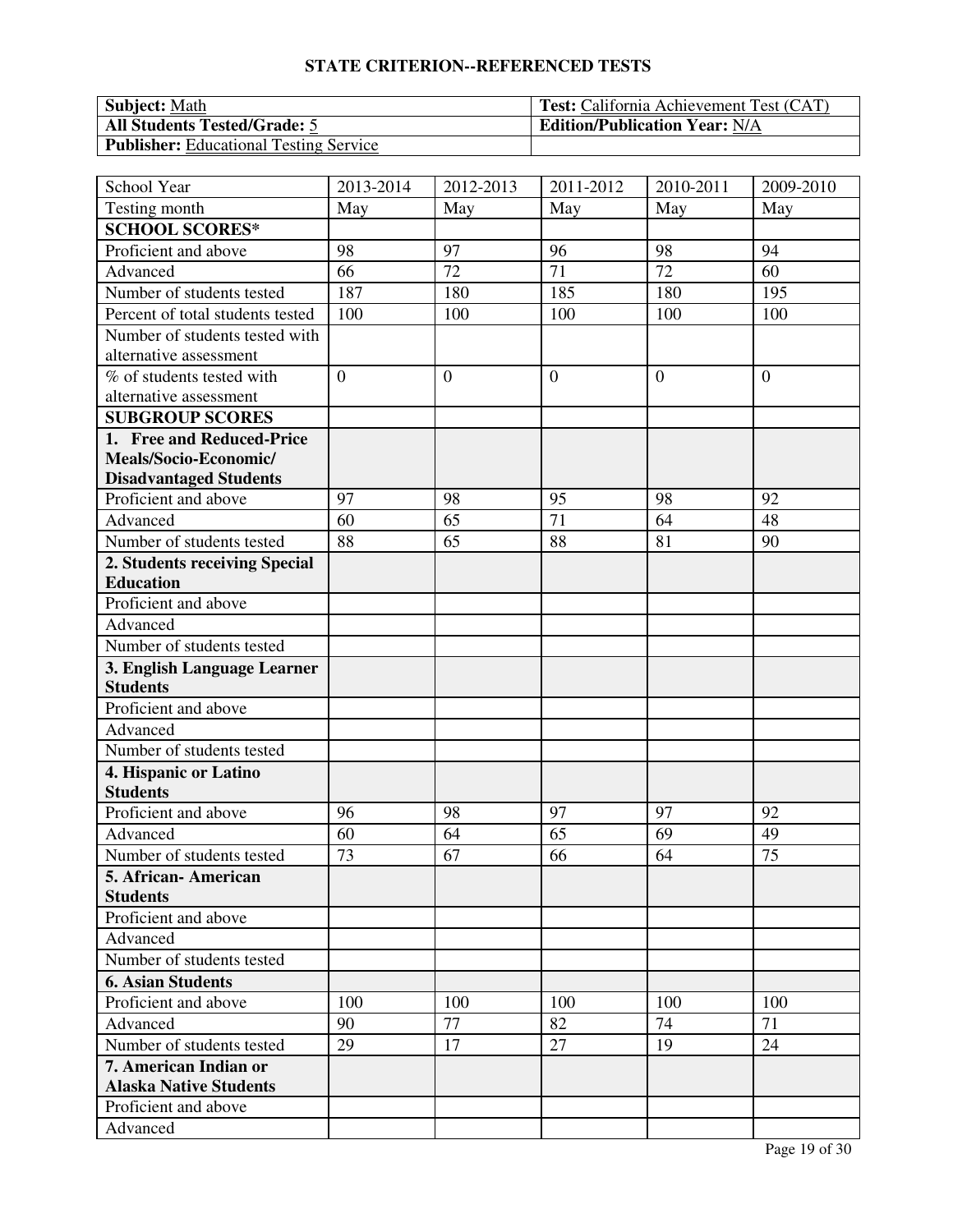| <b>Subject:</b> Math                          | <b>Test:</b> California Achievement Test (CAT) |
|-----------------------------------------------|------------------------------------------------|
| <b>All Students Tested/Grade: 5</b>           | <b>Edition/Publication Year: N/A</b>           |
| <b>Publisher:</b> Educational Testing Service |                                                |

| School Year                              | 2013-2014      | 2012-2013        | 2011-2012      | 2010-2011      | 2009-2010        |
|------------------------------------------|----------------|------------------|----------------|----------------|------------------|
| Testing month                            | May            | May              | May            | May            | May              |
| <b>SCHOOL SCORES*</b>                    |                |                  |                |                |                  |
| Proficient and above                     | 98             | 97               | 96             | 98             | 94               |
| Advanced                                 | 66             | 72               | 71             | 72             | 60               |
| Number of students tested                | 187            | 180              | 185            | 180            | 195              |
| Percent of total students tested         | 100            | 100              | 100            | 100            | 100              |
| Number of students tested with           |                |                  |                |                |                  |
| alternative assessment                   |                |                  |                |                |                  |
| % of students tested with                | $\overline{0}$ | $\boldsymbol{0}$ | $\overline{0}$ | $\overline{0}$ | $\boldsymbol{0}$ |
| alternative assessment                   |                |                  |                |                |                  |
| <b>SUBGROUP SCORES</b>                   |                |                  |                |                |                  |
| 1. Free and Reduced-Price                |                |                  |                |                |                  |
| Meals/Socio-Economic/                    |                |                  |                |                |                  |
| <b>Disadvantaged Students</b>            |                |                  |                |                |                  |
| Proficient and above                     | 97             | 98               | 95             | 98             | 92               |
| Advanced                                 | 60             | 65               | 71             | 64             | 48               |
| Number of students tested                | 88             | 65               | 88             | 81             | 90               |
| 2. Students receiving Special            |                |                  |                |                |                  |
| <b>Education</b>                         |                |                  |                |                |                  |
| Proficient and above                     |                |                  |                |                |                  |
| Advanced                                 |                |                  |                |                |                  |
| Number of students tested                |                |                  |                |                |                  |
| 3. English Language Learner              |                |                  |                |                |                  |
| <b>Students</b>                          |                |                  |                |                |                  |
| Proficient and above                     |                |                  |                |                |                  |
| Advanced                                 |                |                  |                |                |                  |
| Number of students tested                |                |                  |                |                |                  |
| 4. Hispanic or Latino<br><b>Students</b> |                |                  |                |                |                  |
| Proficient and above                     | 96             | 98               | 97             | 97             | 92               |
| Advanced                                 | 60             | 64               | 65             | 69             | 49               |
| Number of students tested                | 73             | 67               | 66             | 64             | 75               |
| 5. African-American                      |                |                  |                |                |                  |
| <b>Students</b>                          |                |                  |                |                |                  |
| Proficient and above                     |                |                  |                |                |                  |
| Advanced                                 |                |                  |                |                |                  |
| Number of students tested                |                |                  |                |                |                  |
| <b>6. Asian Students</b>                 |                |                  |                |                |                  |
| Proficient and above                     | 100            | 100              | 100            | 100            | 100              |
| Advanced                                 | 90             | 77               | 82             | 74             | 71               |
| Number of students tested                | 29             | 17               | 27             | 19             | 24               |
| 7. American Indian or                    |                |                  |                |                |                  |
| <b>Alaska Native Students</b>            |                |                  |                |                |                  |
| Proficient and above                     |                |                  |                |                |                  |
| Advanced                                 |                |                  |                |                |                  |
|                                          |                |                  |                |                |                  |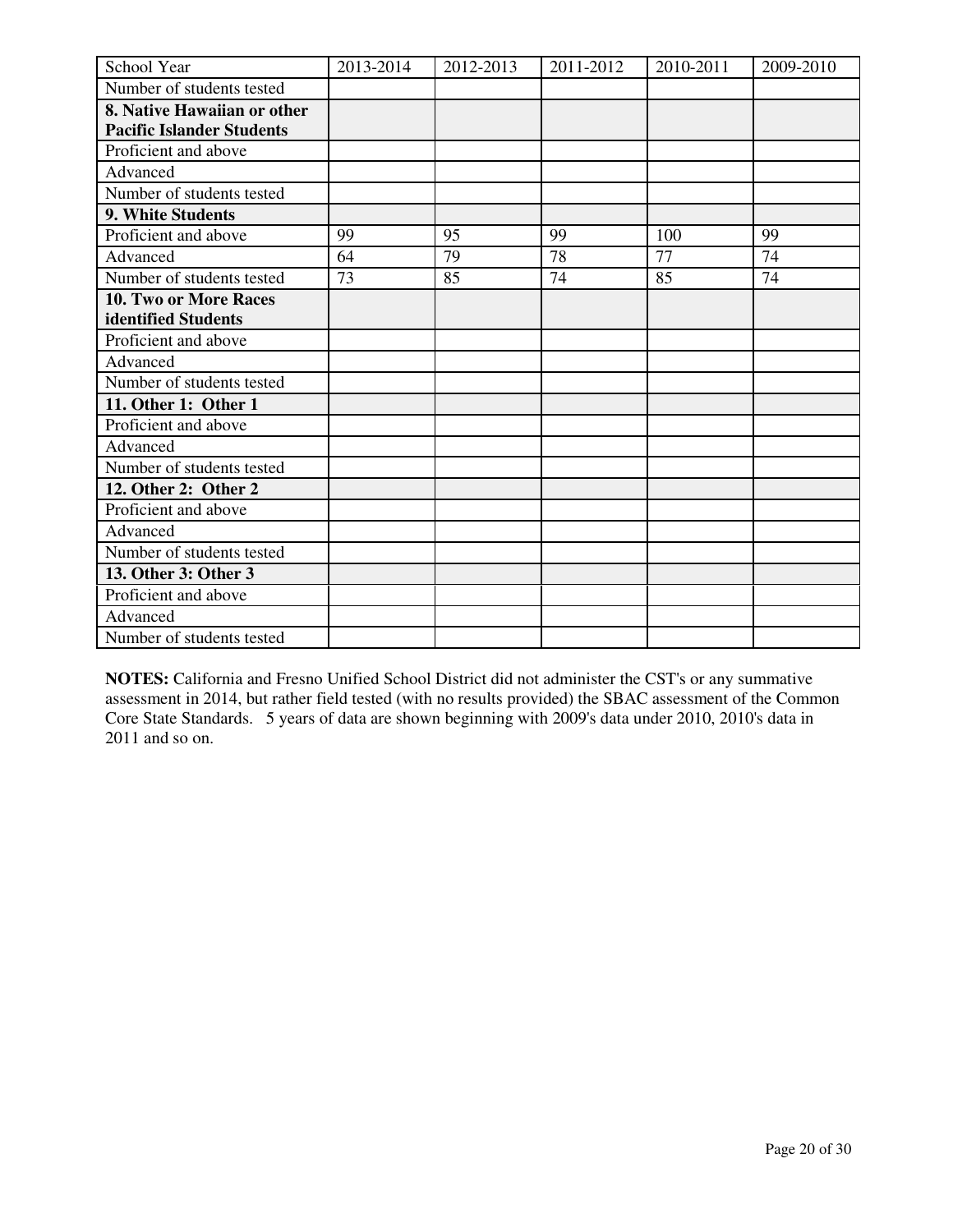| School Year                      | 2013-2014 | 2012-2013 | 2011-2012 | 2010-2011 | 2009-2010 |
|----------------------------------|-----------|-----------|-----------|-----------|-----------|
| Number of students tested        |           |           |           |           |           |
| 8. Native Hawaiian or other      |           |           |           |           |           |
| <b>Pacific Islander Students</b> |           |           |           |           |           |
| Proficient and above             |           |           |           |           |           |
| Advanced                         |           |           |           |           |           |
| Number of students tested        |           |           |           |           |           |
| 9. White Students                |           |           |           |           |           |
| Proficient and above             | 99        | 95        | 99        | 100       | 99        |
| Advanced                         | 64        | 79        | 78        | 77        | 74        |
| Number of students tested        | 73        | 85        | 74        | 85        | 74        |
| 10. Two or More Races            |           |           |           |           |           |
| identified Students              |           |           |           |           |           |
| Proficient and above             |           |           |           |           |           |
| Advanced                         |           |           |           |           |           |
| Number of students tested        |           |           |           |           |           |
| 11. Other 1: Other 1             |           |           |           |           |           |
| Proficient and above             |           |           |           |           |           |
| Advanced                         |           |           |           |           |           |
| Number of students tested        |           |           |           |           |           |
| 12. Other 2: Other 2             |           |           |           |           |           |
| Proficient and above             |           |           |           |           |           |
| Advanced                         |           |           |           |           |           |
| Number of students tested        |           |           |           |           |           |
| 13. Other 3: Other 3             |           |           |           |           |           |
| Proficient and above             |           |           |           |           |           |
| Advanced                         |           |           |           |           |           |
| Number of students tested        |           |           |           |           |           |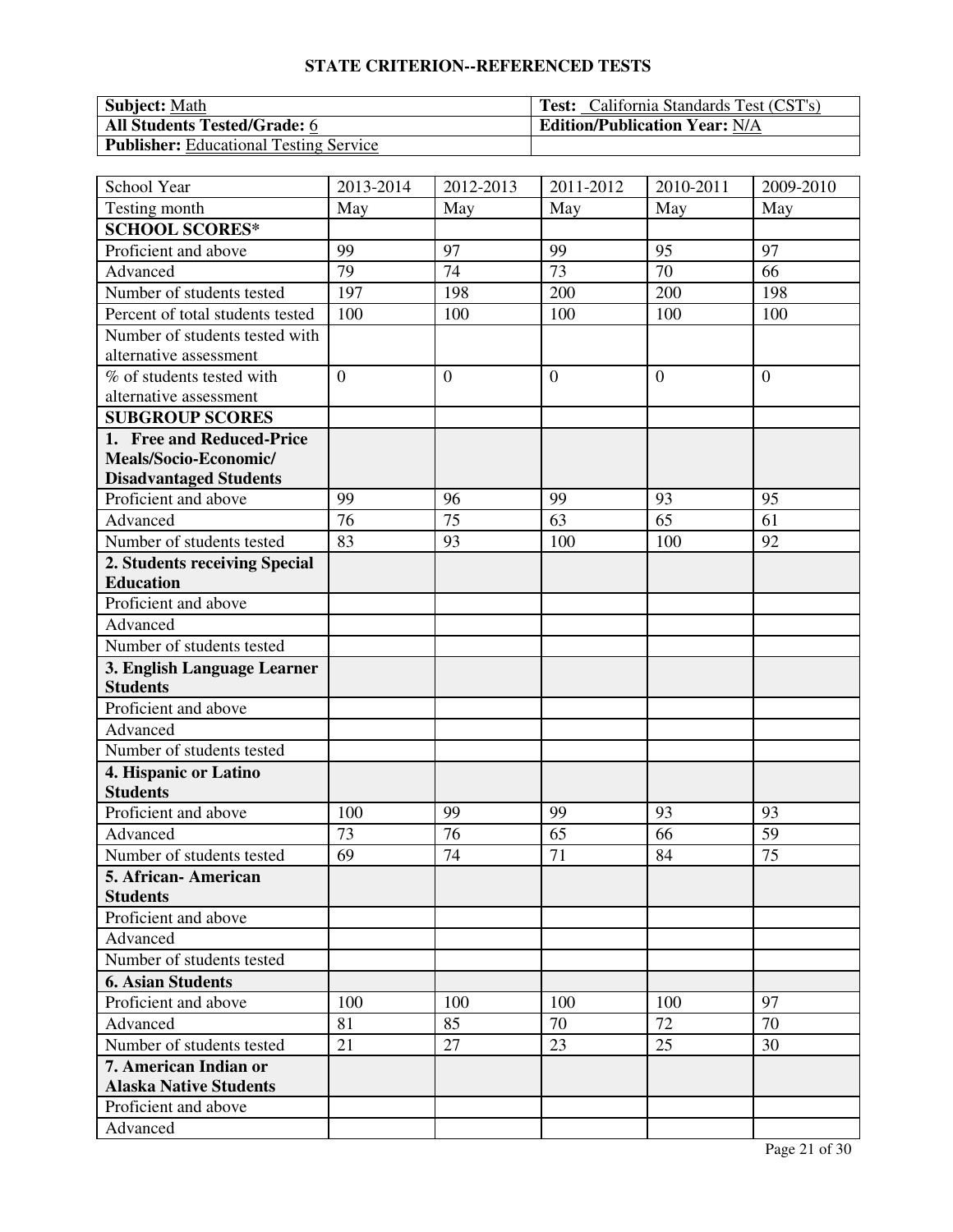| <b>Subject:</b> Math                          | <b>Test:</b> California Standards Test (CST's) |
|-----------------------------------------------|------------------------------------------------|
| <b>All Students Tested/Grade: 6</b>           | <b>Edition/Publication Year: N/A</b>           |
| <b>Publisher:</b> Educational Testing Service |                                                |

| School Year                      | 2013-2014      | 2012-2013      | 2011-2012      | 2010-2011      | 2009-2010      |
|----------------------------------|----------------|----------------|----------------|----------------|----------------|
| Testing month                    | May            | May            | May            | May            | May            |
| <b>SCHOOL SCORES*</b>            |                |                |                |                |                |
| Proficient and above             | 99             | 97             | 99             | 95             | 97             |
| Advanced                         | 79             | 74             | 73             | 70             | 66             |
| Number of students tested        | 197            | 198            | 200            | 200            | 198            |
| Percent of total students tested | 100            | 100            | 100            | 100            | 100            |
| Number of students tested with   |                |                |                |                |                |
| alternative assessment           |                |                |                |                |                |
| % of students tested with        | $\overline{0}$ | $\overline{0}$ | $\overline{0}$ | $\overline{0}$ | $\overline{0}$ |
| alternative assessment           |                |                |                |                |                |
| <b>SUBGROUP SCORES</b>           |                |                |                |                |                |
| 1. Free and Reduced-Price        |                |                |                |                |                |
| Meals/Socio-Economic/            |                |                |                |                |                |
| <b>Disadvantaged Students</b>    |                |                |                |                |                |
| Proficient and above             | 99             | 96             | 99             | 93             | 95             |
| Advanced                         | 76             | 75             | 63             | 65             | 61             |
| Number of students tested        | 83             | 93             | 100            | 100            | 92             |
| 2. Students receiving Special    |                |                |                |                |                |
| <b>Education</b>                 |                |                |                |                |                |
| Proficient and above             |                |                |                |                |                |
| Advanced                         |                |                |                |                |                |
| Number of students tested        |                |                |                |                |                |
| 3. English Language Learner      |                |                |                |                |                |
| <b>Students</b>                  |                |                |                |                |                |
| Proficient and above             |                |                |                |                |                |
| Advanced                         |                |                |                |                |                |
| Number of students tested        |                |                |                |                |                |
| 4. Hispanic or Latino            |                |                |                |                |                |
| <b>Students</b>                  |                |                |                |                |                |
| Proficient and above             | 100            | 99             | 99             | 93             | 93             |
| Advanced                         | 73             | 76             | 65             | 66             | 59             |
| Number of students tested        | 69             | 74             | 71             | 84             | 75             |
| 5. African-American              |                |                |                |                |                |
| <b>Students</b>                  |                |                |                |                |                |
| Proficient and above             |                |                |                |                |                |
| Advanced                         |                |                |                |                |                |
| Number of students tested        |                |                |                |                |                |
| <b>6. Asian Students</b>         |                |                |                |                |                |
| Proficient and above             | 100            | 100            | 100            | 100            | 97             |
| Advanced                         | 81             | 85             | 70             | 72             | 70             |
| Number of students tested        | 21             | 27             | 23             | 25             | 30             |
| 7. American Indian or            |                |                |                |                |                |
| <b>Alaska Native Students</b>    |                |                |                |                |                |
| Proficient and above             |                |                |                |                |                |
| Advanced                         |                |                |                |                |                |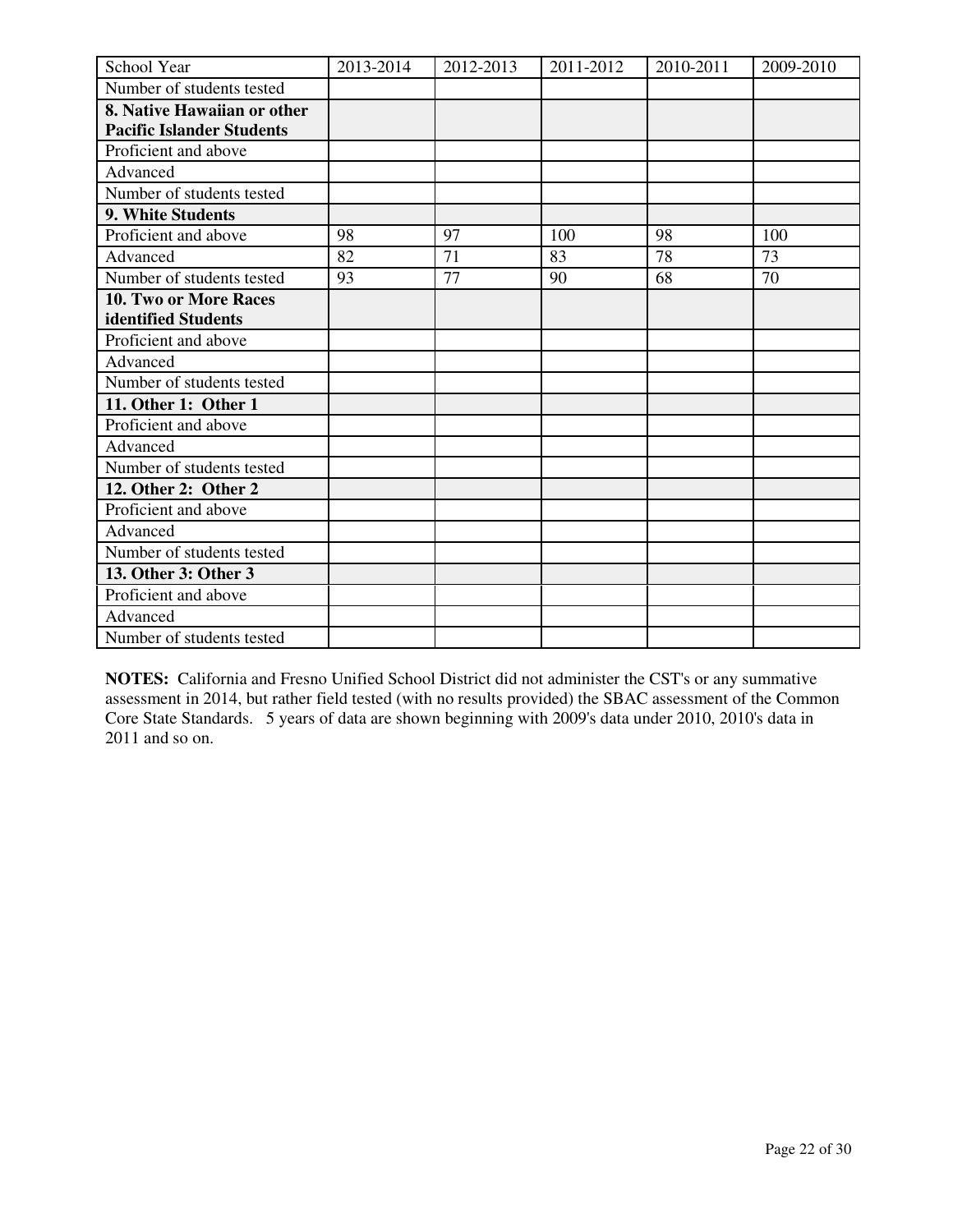| School Year                      | 2013-2014 | 2012-2013 | 2011-2012 | 2010-2011 | 2009-2010 |
|----------------------------------|-----------|-----------|-----------|-----------|-----------|
| Number of students tested        |           |           |           |           |           |
| 8. Native Hawaiian or other      |           |           |           |           |           |
| <b>Pacific Islander Students</b> |           |           |           |           |           |
| Proficient and above             |           |           |           |           |           |
| Advanced                         |           |           |           |           |           |
| Number of students tested        |           |           |           |           |           |
| 9. White Students                |           |           |           |           |           |
| Proficient and above             | 98        | 97        | 100       | 98        | 100       |
| Advanced                         | 82        | 71        | 83        | 78        | 73        |
| Number of students tested        | 93        | 77        | 90        | 68        | 70        |
| 10. Two or More Races            |           |           |           |           |           |
| identified Students              |           |           |           |           |           |
| Proficient and above             |           |           |           |           |           |
| Advanced                         |           |           |           |           |           |
| Number of students tested        |           |           |           |           |           |
| 11. Other 1: Other 1             |           |           |           |           |           |
| Proficient and above             |           |           |           |           |           |
| Advanced                         |           |           |           |           |           |
| Number of students tested        |           |           |           |           |           |
| 12. Other 2: Other 2             |           |           |           |           |           |
| Proficient and above             |           |           |           |           |           |
| Advanced                         |           |           |           |           |           |
| Number of students tested        |           |           |           |           |           |
| 13. Other 3: Other 3             |           |           |           |           |           |
| Proficient and above             |           |           |           |           |           |
| Advanced                         |           |           |           |           |           |
| Number of students tested        |           |           |           |           |           |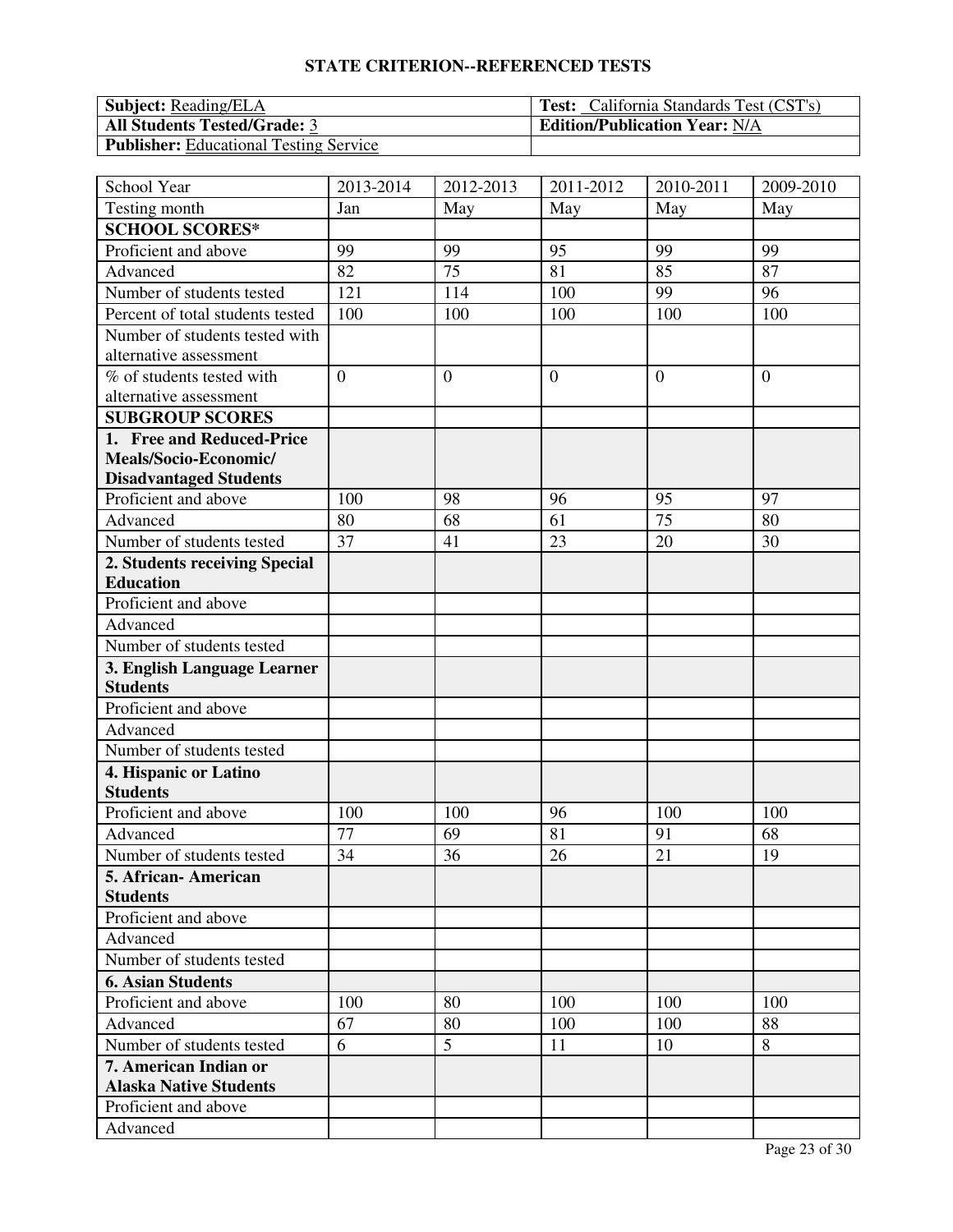| <b>Subject:</b> Reading/ELA                   | <b>Test:</b> California Standards Test (CST's) |
|-----------------------------------------------|------------------------------------------------|
| <b>All Students Tested/Grade: 3</b>           | <b>Edition/Publication Year: N/A</b>           |
| <b>Publisher:</b> Educational Testing Service |                                                |

| School Year                                    | 2013-2014      | 2012-2013      | 2011-2012      | 2010-2011      | 2009-2010      |
|------------------------------------------------|----------------|----------------|----------------|----------------|----------------|
| Testing month                                  | Jan            | May            | May            | May            | May            |
| <b>SCHOOL SCORES*</b>                          |                |                |                |                |                |
| Proficient and above                           | 99             | 99             | 95             | 99             | 99             |
| Advanced                                       | 82             | 75             | 81             | 85             | 87             |
| Number of students tested                      | 121            | 114            | 100            | 99             | 96             |
| Percent of total students tested               | 100            | 100            | 100            | 100            | 100            |
| Number of students tested with                 |                |                |                |                |                |
| alternative assessment                         |                |                |                |                |                |
| % of students tested with                      | $\overline{0}$ | $\overline{0}$ | $\overline{0}$ | $\overline{0}$ | $\overline{0}$ |
| alternative assessment                         |                |                |                |                |                |
| <b>SUBGROUP SCORES</b>                         |                |                |                |                |                |
| 1. Free and Reduced-Price                      |                |                |                |                |                |
| Meals/Socio-Economic/                          |                |                |                |                |                |
| <b>Disadvantaged Students</b>                  |                |                |                |                |                |
| Proficient and above                           | 100            | 98             | 96             | 95             | 97             |
| Advanced                                       | 80             | 68             | 61             | 75             | 80             |
| Number of students tested                      | 37             | 41             | 23             | 20             | 30             |
| 2. Students receiving Special                  |                |                |                |                |                |
| <b>Education</b>                               |                |                |                |                |                |
| Proficient and above                           |                |                |                |                |                |
| Advanced                                       |                |                |                |                |                |
| Number of students tested                      |                |                |                |                |                |
| 3. English Language Learner<br><b>Students</b> |                |                |                |                |                |
| Proficient and above                           |                |                |                |                |                |
| Advanced                                       |                |                |                |                |                |
| Number of students tested                      |                |                |                |                |                |
| 4. Hispanic or Latino                          |                |                |                |                |                |
| <b>Students</b>                                |                |                |                |                |                |
| Proficient and above                           | 100            | 100            | 96             | 100            | 100            |
| Advanced                                       | 77             | 69             | 81             | 91             | 68             |
| Number of students tested                      | 34             | 36             | 26             | 21             | 19             |
| 5. African-American                            |                |                |                |                |                |
| <b>Students</b>                                |                |                |                |                |                |
| Proficient and above                           |                |                |                |                |                |
| Advanced                                       |                |                |                |                |                |
| Number of students tested                      |                |                |                |                |                |
| <b>6. Asian Students</b>                       |                |                |                |                |                |
| Proficient and above                           | 100            | 80             | 100            | 100            | 100            |
| Advanced                                       | 67             | 80             | 100            | 100            | 88             |
| Number of students tested                      | 6              | 5              | 11             | 10             | 8              |
| 7. American Indian or                          |                |                |                |                |                |
| <b>Alaska Native Students</b>                  |                |                |                |                |                |
| Proficient and above                           |                |                |                |                |                |
| Advanced                                       |                |                |                |                |                |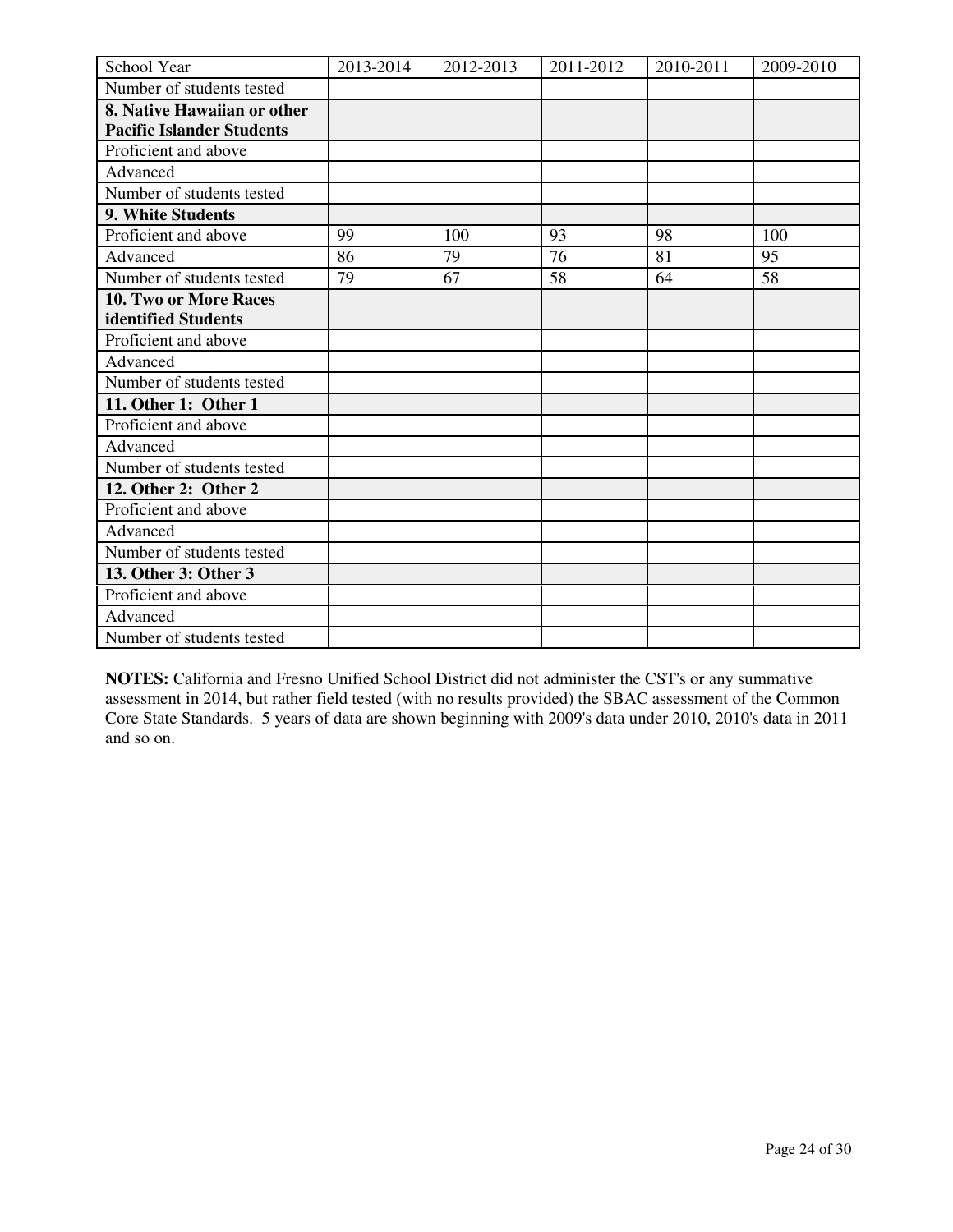| School Year                      | 2013-2014 | 2012-2013 | 2011-2012 | 2010-2011 | 2009-2010 |
|----------------------------------|-----------|-----------|-----------|-----------|-----------|
| Number of students tested        |           |           |           |           |           |
| 8. Native Hawaiian or other      |           |           |           |           |           |
| <b>Pacific Islander Students</b> |           |           |           |           |           |
| Proficient and above             |           |           |           |           |           |
| Advanced                         |           |           |           |           |           |
| Number of students tested        |           |           |           |           |           |
| 9. White Students                |           |           |           |           |           |
| Proficient and above             | 99        | 100       | 93        | 98        | 100       |
| Advanced                         | 86        | 79        | 76        | 81        | 95        |
| Number of students tested        | 79        | 67        | 58        | 64        | 58        |
| <b>10. Two or More Races</b>     |           |           |           |           |           |
| identified Students              |           |           |           |           |           |
| Proficient and above             |           |           |           |           |           |
| Advanced                         |           |           |           |           |           |
| Number of students tested        |           |           |           |           |           |
| 11. Other 1: Other 1             |           |           |           |           |           |
| Proficient and above             |           |           |           |           |           |
| Advanced                         |           |           |           |           |           |
| Number of students tested        |           |           |           |           |           |
| 12. Other 2: Other 2             |           |           |           |           |           |
| Proficient and above             |           |           |           |           |           |
| Advanced                         |           |           |           |           |           |
| Number of students tested        |           |           |           |           |           |
| 13. Other 3: Other 3             |           |           |           |           |           |
| Proficient and above             |           |           |           |           |           |
| Advanced                         |           |           |           |           |           |
| Number of students tested        |           |           |           |           |           |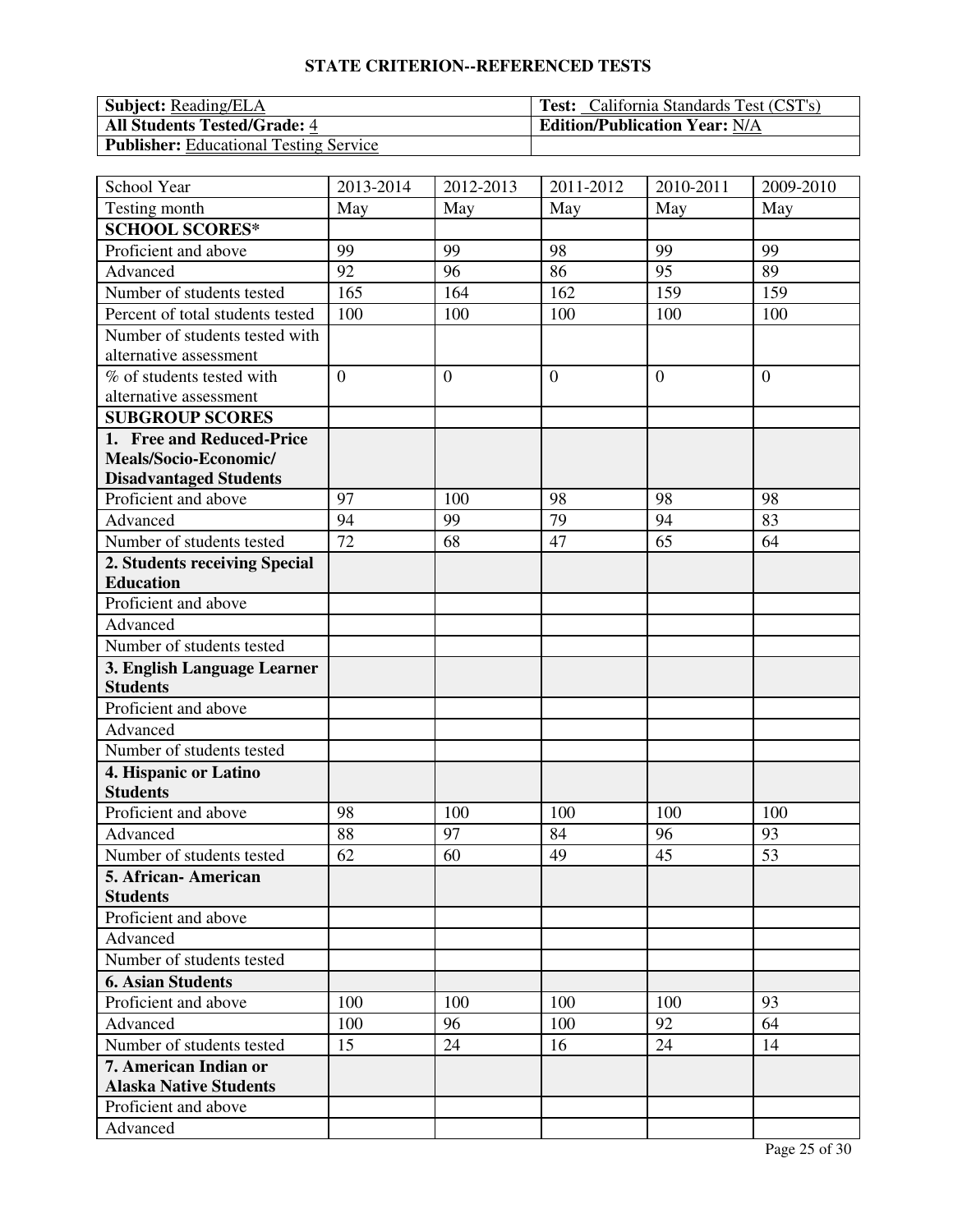| <b>Subject:</b> Reading/ELA                   | <b>Test:</b> California Standards Test (CST's) |
|-----------------------------------------------|------------------------------------------------|
| <b>All Students Tested/Grade: 4</b>           | <b>Edition/Publication Year: N/A</b>           |
| <b>Publisher:</b> Educational Testing Service |                                                |

| School Year                              | 2013-2014       | 2012-2013      | 2011-2012      | 2010-2011      | 2009-2010      |
|------------------------------------------|-----------------|----------------|----------------|----------------|----------------|
| Testing month                            | May             | May            | May            | May            | May            |
| <b>SCHOOL SCORES*</b>                    |                 |                |                |                |                |
| Proficient and above                     | 99              | 99             | 98             | 99             | 99             |
| Advanced                                 | 92              | 96             | 86             | 95             | 89             |
| Number of students tested                | 165             | 164            | 162            | 159            | 159            |
| Percent of total students tested         | 100             | 100            | 100            | 100            | 100            |
| Number of students tested with           |                 |                |                |                |                |
| alternative assessment                   |                 |                |                |                |                |
| % of students tested with                | $\overline{0}$  | $\overline{0}$ | $\overline{0}$ | $\overline{0}$ | $\overline{0}$ |
| alternative assessment                   |                 |                |                |                |                |
| <b>SUBGROUP SCORES</b>                   |                 |                |                |                |                |
| 1. Free and Reduced-Price                |                 |                |                |                |                |
| Meals/Socio-Economic/                    |                 |                |                |                |                |
| <b>Disadvantaged Students</b>            |                 |                |                |                |                |
| Proficient and above                     | 97              | 100            | 98             | 98             | 98             |
| Advanced                                 | 94              | 99             | 79             | 94             | 83             |
| Number of students tested                | $\overline{72}$ | 68             | 47             | 65             | 64             |
| 2. Students receiving Special            |                 |                |                |                |                |
| <b>Education</b>                         |                 |                |                |                |                |
| Proficient and above                     |                 |                |                |                |                |
| Advanced                                 |                 |                |                |                |                |
| Number of students tested                |                 |                |                |                |                |
| 3. English Language Learner              |                 |                |                |                |                |
| <b>Students</b>                          |                 |                |                |                |                |
| Proficient and above<br>Advanced         |                 |                |                |                |                |
|                                          |                 |                |                |                |                |
| Number of students tested                |                 |                |                |                |                |
| 4. Hispanic or Latino<br><b>Students</b> |                 |                |                |                |                |
| Proficient and above                     | 98              | 100            | 100            | 100            | 100            |
| Advanced                                 | 88              | 97             | 84             | 96             | 93             |
| Number of students tested                | 62              | 60             | 49             | 45             | 53             |
| 5. African-American                      |                 |                |                |                |                |
| <b>Students</b>                          |                 |                |                |                |                |
| Proficient and above                     |                 |                |                |                |                |
| Advanced                                 |                 |                |                |                |                |
| Number of students tested                |                 |                |                |                |                |
| <b>6. Asian Students</b>                 |                 |                |                |                |                |
| Proficient and above                     | 100             | 100            | 100            | 100            | 93             |
| Advanced                                 | 100             | 96             | 100            | 92             | 64             |
| Number of students tested                | 15              | 24             | 16             | 24             | 14             |
| 7. American Indian or                    |                 |                |                |                |                |
| <b>Alaska Native Students</b>            |                 |                |                |                |                |
| Proficient and above                     |                 |                |                |                |                |
| Advanced                                 |                 |                |                |                |                |
|                                          |                 |                |                |                |                |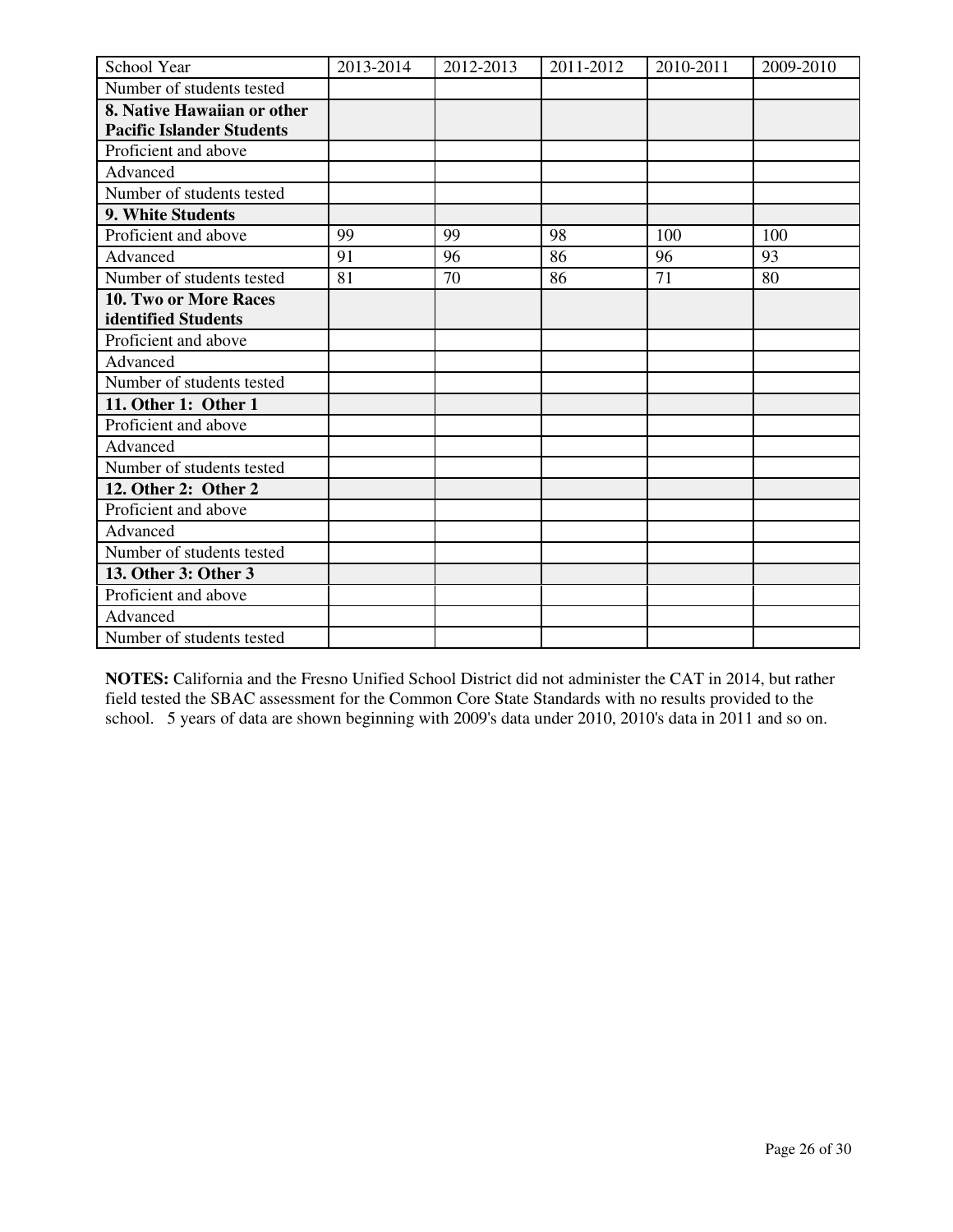| School Year                      | 2013-2014 | 2012-2013 | 2011-2012 | 2010-2011 | 2009-2010 |
|----------------------------------|-----------|-----------|-----------|-----------|-----------|
| Number of students tested        |           |           |           |           |           |
| 8. Native Hawaiian or other      |           |           |           |           |           |
| <b>Pacific Islander Students</b> |           |           |           |           |           |
| Proficient and above             |           |           |           |           |           |
| Advanced                         |           |           |           |           |           |
| Number of students tested        |           |           |           |           |           |
| 9. White Students                |           |           |           |           |           |
| Proficient and above             | 99        | 99        | 98        | 100       | 100       |
| Advanced                         | 91        | 96        | 86        | 96        | 93        |
| Number of students tested        | 81        | 70        | 86        | 71        | 80        |
| 10. Two or More Races            |           |           |           |           |           |
| identified Students              |           |           |           |           |           |
| Proficient and above             |           |           |           |           |           |
| Advanced                         |           |           |           |           |           |
| Number of students tested        |           |           |           |           |           |
| 11. Other 1: Other 1             |           |           |           |           |           |
| Proficient and above             |           |           |           |           |           |
| Advanced                         |           |           |           |           |           |
| Number of students tested        |           |           |           |           |           |
| 12. Other 2: Other 2             |           |           |           |           |           |
| Proficient and above             |           |           |           |           |           |
| Advanced                         |           |           |           |           |           |
| Number of students tested        |           |           |           |           |           |
| 13. Other 3: Other 3             |           |           |           |           |           |
| Proficient and above             |           |           |           |           |           |
| Advanced                         |           |           |           |           |           |
| Number of students tested        |           |           |           |           |           |

**NOTES:** California and the Fresno Unified School District did not administer the CAT in 2014, but rather field tested the SBAC assessment for the Common Core State Standards with no results provided to the school. 5 years of data are shown beginning with 2009's data under 2010, 2010's data in 2011 and so on.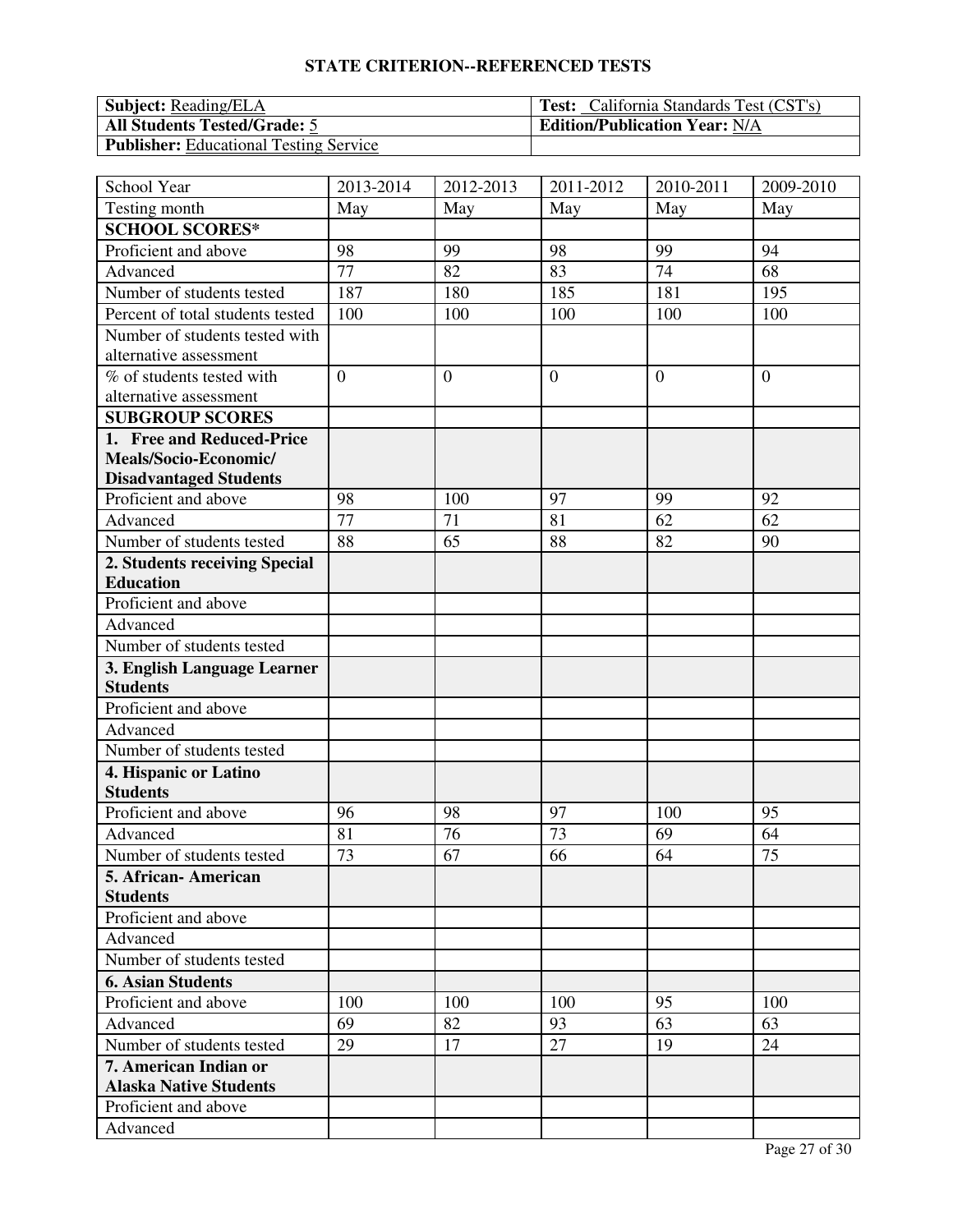| <b>Subject:</b> Reading/ELA                   | <b>Test:</b> California Standards Test (CST's) |
|-----------------------------------------------|------------------------------------------------|
| <b>All Students Tested/Grade: 5</b>           | <b>Edition/Publication Year: N/A</b>           |
| <b>Publisher:</b> Educational Testing Service |                                                |

| School Year                      | 2013-2014      | 2012-2013      | 2011-2012      | 2010-2011      | 2009-2010      |
|----------------------------------|----------------|----------------|----------------|----------------|----------------|
| Testing month                    | May            | May            | May            | May            | May            |
| <b>SCHOOL SCORES*</b>            |                |                |                |                |                |
| Proficient and above             | 98             | 99             | 98             | 99             | 94             |
| Advanced                         | 77             | 82             | 83             | 74             | 68             |
| Number of students tested        | 187            | 180            | 185            | 181            | 195            |
| Percent of total students tested | 100            | 100            | 100            | 100            | 100            |
| Number of students tested with   |                |                |                |                |                |
| alternative assessment           |                |                |                |                |                |
| % of students tested with        | $\overline{0}$ | $\overline{0}$ | $\overline{0}$ | $\overline{0}$ | $\overline{0}$ |
| alternative assessment           |                |                |                |                |                |
| <b>SUBGROUP SCORES</b>           |                |                |                |                |                |
| 1. Free and Reduced-Price        |                |                |                |                |                |
| Meals/Socio-Economic/            |                |                |                |                |                |
| <b>Disadvantaged Students</b>    |                |                |                |                |                |
| Proficient and above             | 98             | 100            | 97             | 99             | 92             |
| Advanced                         | 77             | 71             | 81             | 62             | 62             |
| Number of students tested        | 88             | 65             | 88             | 82             | 90             |
| 2. Students receiving Special    |                |                |                |                |                |
| <b>Education</b>                 |                |                |                |                |                |
| Proficient and above             |                |                |                |                |                |
| Advanced                         |                |                |                |                |                |
| Number of students tested        |                |                |                |                |                |
| 3. English Language Learner      |                |                |                |                |                |
| <b>Students</b>                  |                |                |                |                |                |
| Proficient and above             |                |                |                |                |                |
| Advanced                         |                |                |                |                |                |
| Number of students tested        |                |                |                |                |                |
| 4. Hispanic or Latino            |                |                |                |                |                |
| <b>Students</b>                  |                |                |                |                |                |
| Proficient and above             | 96             | 98             | 97             | 100            | 95             |
| Advanced                         | 81             | 76             | 73             | 69             | 64             |
| Number of students tested        | 73             | 67             | 66             | 64             | 75             |
| 5. African-American              |                |                |                |                |                |
| <b>Students</b>                  |                |                |                |                |                |
| Proficient and above             |                |                |                |                |                |
| Advanced                         |                |                |                |                |                |
| Number of students tested        |                |                |                |                |                |
| <b>6. Asian Students</b>         |                |                |                |                |                |
| Proficient and above             | 100            | 100            | 100            | 95             | 100            |
| Advanced                         | 69             | 82             | 93             | 63             | 63             |
| Number of students tested        | 29             | 17             | 27             | 19             | 24             |
| 7. American Indian or            |                |                |                |                |                |
| <b>Alaska Native Students</b>    |                |                |                |                |                |
| Proficient and above             |                |                |                |                |                |
| Advanced                         |                |                |                |                |                |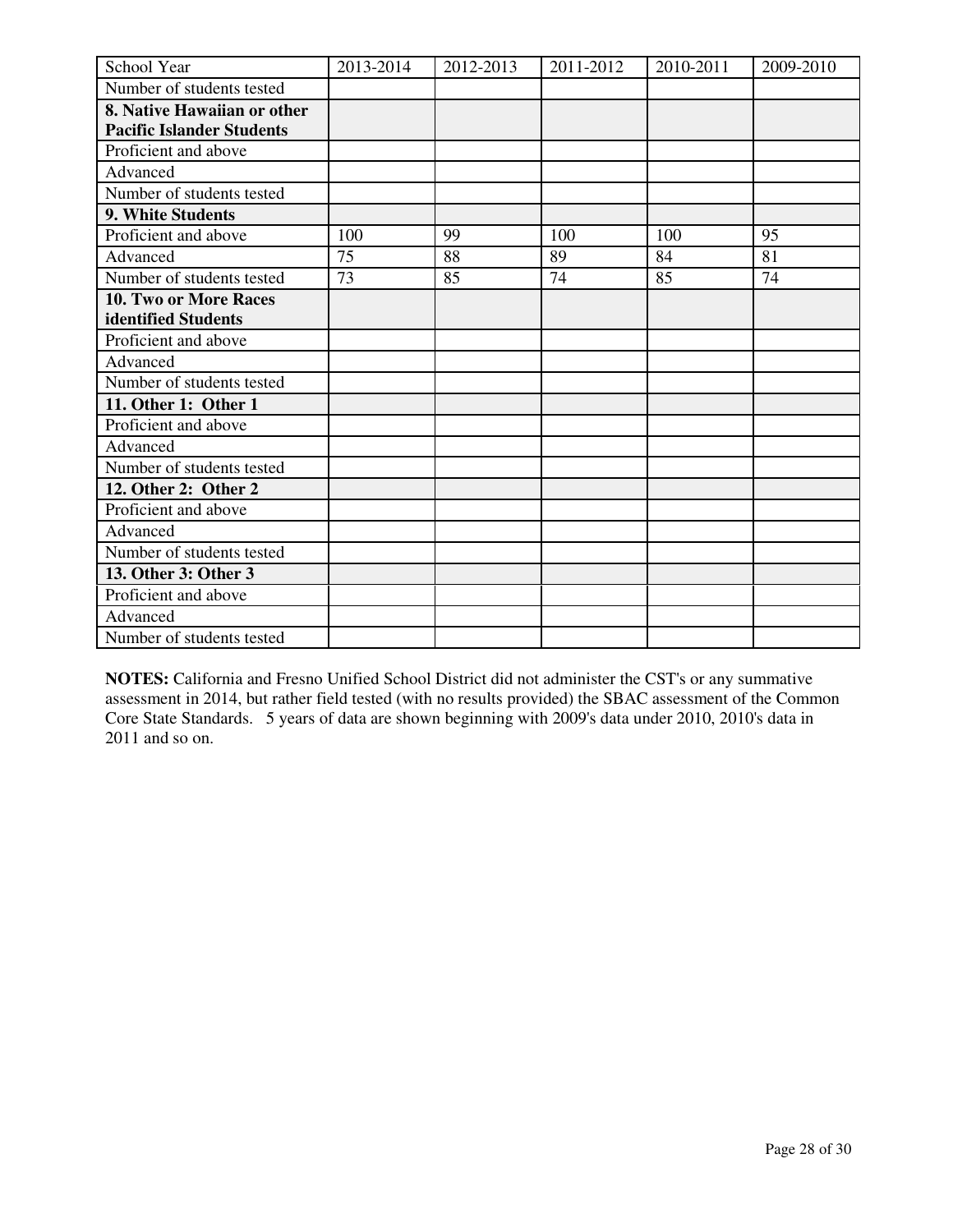| School Year                      | 2013-2014 | 2012-2013 | 2011-2012 | 2010-2011 | 2009-2010 |
|----------------------------------|-----------|-----------|-----------|-----------|-----------|
| Number of students tested        |           |           |           |           |           |
| 8. Native Hawaiian or other      |           |           |           |           |           |
| <b>Pacific Islander Students</b> |           |           |           |           |           |
| Proficient and above             |           |           |           |           |           |
| Advanced                         |           |           |           |           |           |
| Number of students tested        |           |           |           |           |           |
| 9. White Students                |           |           |           |           |           |
| Proficient and above             | 100       | 99        | 100       | 100       | 95        |
| Advanced                         | 75        | 88        | 89        | 84        | 81        |
| Number of students tested        | 73        | 85        | 74        | 85        | 74        |
| 10. Two or More Races            |           |           |           |           |           |
| identified Students              |           |           |           |           |           |
| Proficient and above             |           |           |           |           |           |
| Advanced                         |           |           |           |           |           |
| Number of students tested        |           |           |           |           |           |
| 11. Other 1: Other 1             |           |           |           |           |           |
| Proficient and above             |           |           |           |           |           |
| Advanced                         |           |           |           |           |           |
| Number of students tested        |           |           |           |           |           |
| 12. Other 2: Other 2             |           |           |           |           |           |
| Proficient and above             |           |           |           |           |           |
| Advanced                         |           |           |           |           |           |
| Number of students tested        |           |           |           |           |           |
| 13. Other 3: Other 3             |           |           |           |           |           |
| Proficient and above             |           |           |           |           |           |
| Advanced                         |           |           |           |           |           |
| Number of students tested        |           |           |           |           |           |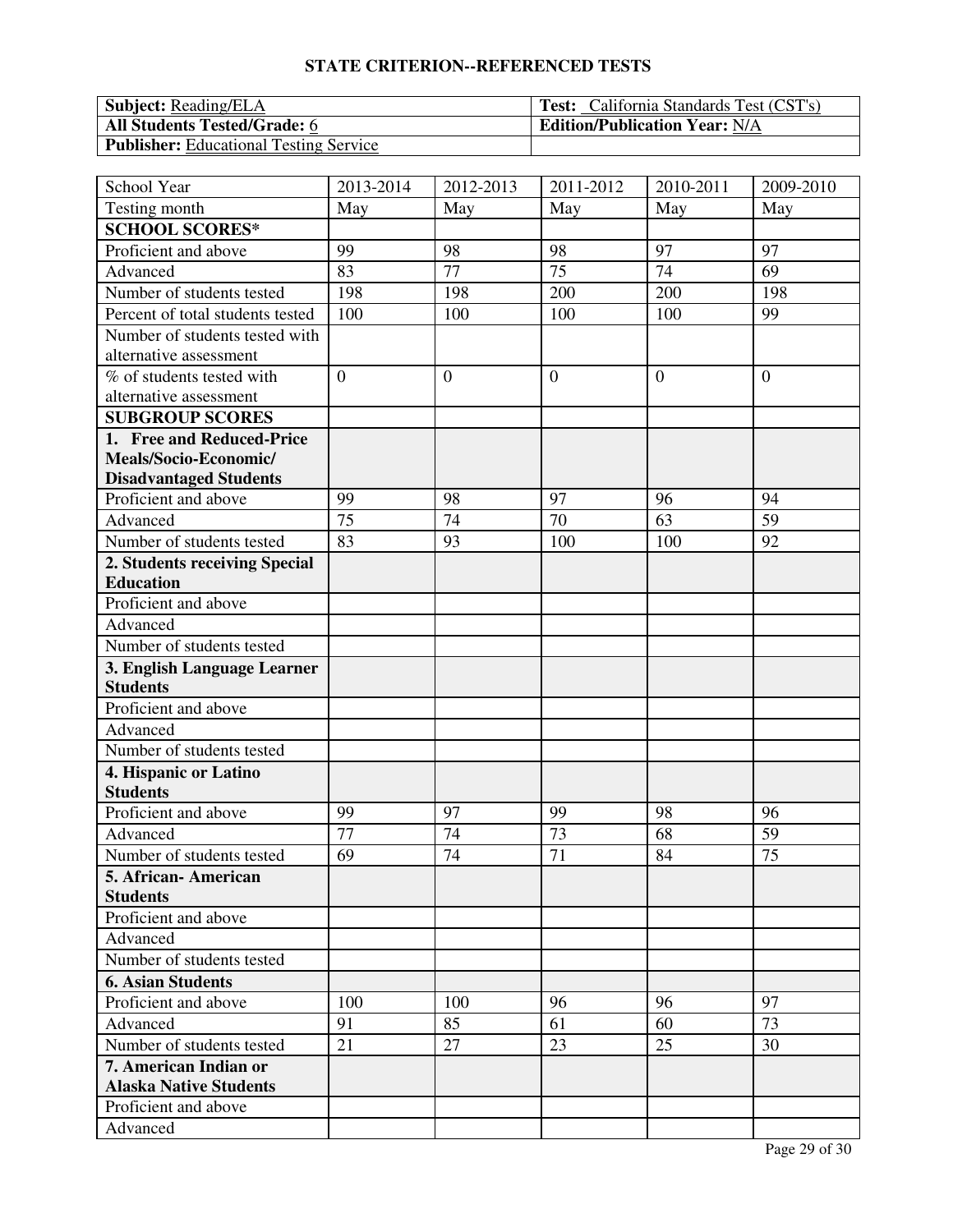| <b>Subject:</b> Reading/ELA                   | <b>Test:</b> California Standards Test (CST's) |
|-----------------------------------------------|------------------------------------------------|
| <b>All Students Tested/Grade: 6</b>           | <b>Edition/Publication Year: N/A</b>           |
| <b>Publisher:</b> Educational Testing Service |                                                |

| School Year                      | 2013-2014       | 2012-2013      | 2011-2012      | 2010-2011      | 2009-2010      |
|----------------------------------|-----------------|----------------|----------------|----------------|----------------|
| Testing month                    | May             | May            | May            | May            | May            |
| <b>SCHOOL SCORES*</b>            |                 |                |                |                |                |
| Proficient and above             | 99              | 98             | 98             | 97             | 97             |
| Advanced                         | 83              | 77             | 75             | 74             | 69             |
| Number of students tested        | 198             | 198            | 200            | 200            | 198            |
| Percent of total students tested | 100             | 100            | 100            | 100            | 99             |
| Number of students tested with   |                 |                |                |                |                |
| alternative assessment           |                 |                |                |                |                |
| % of students tested with        | $\overline{0}$  | $\overline{0}$ | $\overline{0}$ | $\overline{0}$ | $\overline{0}$ |
| alternative assessment           |                 |                |                |                |                |
| <b>SUBGROUP SCORES</b>           |                 |                |                |                |                |
| 1. Free and Reduced-Price        |                 |                |                |                |                |
| Meals/Socio-Economic/            |                 |                |                |                |                |
| <b>Disadvantaged Students</b>    |                 |                |                |                |                |
| Proficient and above             | 99              | 98             | 97             | 96             | 94             |
| Advanced                         | 75              | 74             | 70             | 63             | 59             |
| Number of students tested        | 83              | 93             | 100            | 100            | 92             |
| 2. Students receiving Special    |                 |                |                |                |                |
| <b>Education</b>                 |                 |                |                |                |                |
| Proficient and above             |                 |                |                |                |                |
| Advanced                         |                 |                |                |                |                |
| Number of students tested        |                 |                |                |                |                |
| 3. English Language Learner      |                 |                |                |                |                |
| <b>Students</b>                  |                 |                |                |                |                |
| Proficient and above             |                 |                |                |                |                |
| Advanced                         |                 |                |                |                |                |
| Number of students tested        |                 |                |                |                |                |
| 4. Hispanic or Latino            |                 |                |                |                |                |
| <b>Students</b>                  |                 |                |                |                |                |
| Proficient and above             | 99              | 97             | 99             | 98             | 96             |
| Advanced                         | $\overline{77}$ | 74             | 73             | 68             | 59             |
| Number of students tested        | 69              | 74             | 71             | 84             | 75             |
| 5. African-American              |                 |                |                |                |                |
| <b>Students</b>                  |                 |                |                |                |                |
| Proficient and above             |                 |                |                |                |                |
| Advanced                         |                 |                |                |                |                |
| Number of students tested        |                 |                |                |                |                |
| <b>6. Asian Students</b>         |                 |                |                |                |                |
| Proficient and above             | 100             | 100            | 96             | 96             | 97             |
| Advanced                         | 91              | 85             | 61             | 60             | 73             |
| Number of students tested        | 21              | 27             | 23             | 25             | 30             |
| 7. American Indian or            |                 |                |                |                |                |
| <b>Alaska Native Students</b>    |                 |                |                |                |                |
| Proficient and above             |                 |                |                |                |                |
| Advanced                         |                 |                |                |                |                |